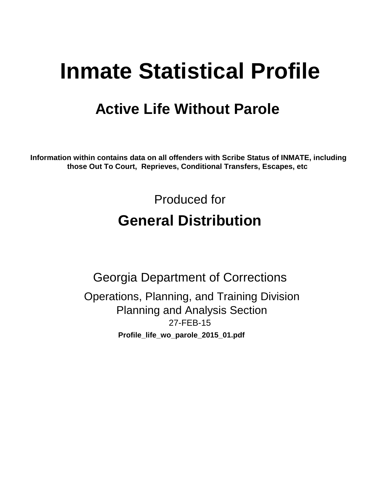# **Inmate Statistical Profile**

## **Active Life Without Parole**

**Information within contains data on all offenders with Scribe Status of INMATE, including those Out To Court, Reprieves, Conditional Transfers, Escapes, etc** 

> Produced for **General Distribution**

27-FEB-15 **Profile\_life\_wo\_parole\_2015\_01.pdf** Georgia Department of Corrections Operations, Planning, and Training Division Planning and Analysis Section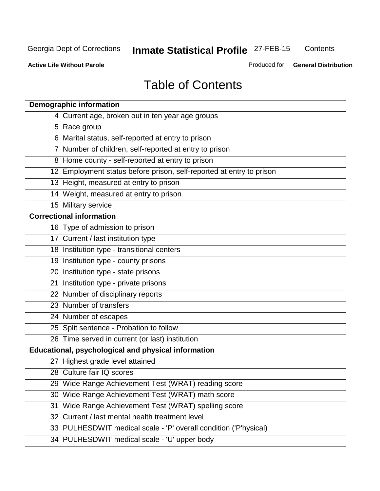**Contents** 

**Active Life Without Parole** 

Produced for **General Distribution**

## Table of Contents

|     | <b>Demographic information</b>                                       |
|-----|----------------------------------------------------------------------|
|     | 4 Current age, broken out in ten year age groups                     |
|     | 5 Race group                                                         |
|     | 6 Marital status, self-reported at entry to prison                   |
|     | 7 Number of children, self-reported at entry to prison               |
|     | 8 Home county - self-reported at entry to prison                     |
|     | 12 Employment status before prison, self-reported at entry to prison |
|     | 13 Height, measured at entry to prison                               |
|     | 14 Weight, measured at entry to prison                               |
|     | 15 Military service                                                  |
|     | <b>Correctional information</b>                                      |
|     | 16 Type of admission to prison                                       |
|     | 17 Current / last institution type                                   |
|     | 18 Institution type - transitional centers                           |
|     | 19 Institution type - county prisons                                 |
|     | 20 Institution type - state prisons                                  |
|     | 21 Institution type - private prisons                                |
|     | 22 Number of disciplinary reports                                    |
|     | 23 Number of transfers                                               |
|     | 24 Number of escapes                                                 |
|     | 25 Split sentence - Probation to follow                              |
|     | 26 Time served in current (or last) institution                      |
|     | <b>Educational, psychological and physical information</b>           |
|     | 27 Highest grade level attained                                      |
|     | 28 Culture fair IQ scores                                            |
|     | 29 Wide Range Achievement Test (WRAT) reading score                  |
|     | 30 Wide Range Achievement Test (WRAT) math score                     |
| 31. | Wide Range Achievement Test (WRAT) spelling score                    |
|     | 32 Current / last mental health treatment level                      |
|     | 33 PULHESDWIT medical scale - 'P' overall condition ('P'hysical)     |
|     | 34 PULHESDWIT medical scale - 'U' upper body                         |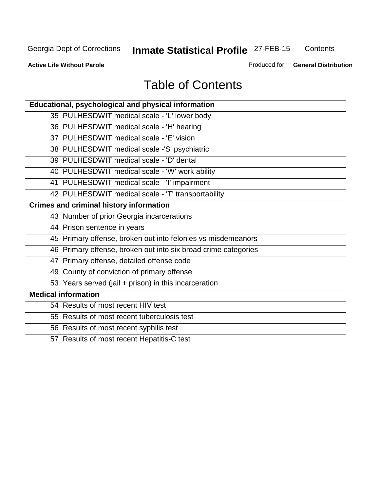**Contents** 

**Active Life Without Parole** 

Produced for **General Distribution**

## Table of Contents

| Educational, psychological and physical information            |
|----------------------------------------------------------------|
| 35 PULHESDWIT medical scale - 'L' lower body                   |
| 36 PULHESDWIT medical scale - 'H' hearing                      |
| 37 PULHESDWIT medical scale - 'E' vision                       |
| 38 PULHESDWIT medical scale -'S' psychiatric                   |
| 39 PULHESDWIT medical scale - 'D' dental                       |
| 40 PULHESDWIT medical scale - 'W' work ability                 |
| 41 PULHESDWIT medical scale - 'I' impairment                   |
| 42 PULHESDWIT medical scale - 'T' transportability             |
| <b>Crimes and criminal history information</b>                 |
| 43 Number of prior Georgia incarcerations                      |
| 44 Prison sentence in years                                    |
| 45 Primary offense, broken out into felonies vs misdemeanors   |
| 46 Primary offense, broken out into six broad crime categories |
| 47 Primary offense, detailed offense code                      |
| 49 County of conviction of primary offense                     |
| 53 Years served (jail + prison) in this incarceration          |
| <b>Medical information</b>                                     |
| 54 Results of most recent HIV test                             |
| 55 Results of most recent tuberculosis test                    |
| 56 Results of most recent syphilis test                        |
| 57 Results of most recent Hepatitis-C test                     |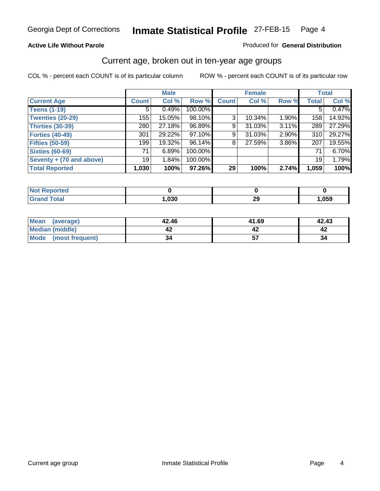#### **Active Life Without Parole**

#### Produced for **General Distribution**

### Current age, broken out in ten-year age groups

|                          |                    | <b>Male</b> |         |              | <b>Female</b> |       |                 | <b>Total</b> |
|--------------------------|--------------------|-------------|---------|--------------|---------------|-------|-----------------|--------------|
| <b>Current Age</b>       | Count <sup>1</sup> | Col %       | Row %   | <b>Count</b> | Col %         | Row % | <b>Total</b>    | Col %        |
| <b>Teens (1-19)</b>      | 5                  | 0.49%       | 100.00% |              |               |       | 5               | 0.47%        |
| <b>Twenties (20-29)</b>  | 155                | 15.05%      | 98.10%  | 3            | 10.34%        | 1.90% | 158             | 14.92%       |
| <b>Thirties (30-39)</b>  | 280                | 27.18%      | 96.89%  | 9            | 31.03%        | 3.11% | 289             | 27.29%       |
| <b>Forties (40-49)</b>   | 301                | 29.22%      | 97.10%  | 9            | 31.03%        | 2.90% | 310             | 29.27%       |
| <b>Fifties (50-59)</b>   | 199                | 19.32%      | 96.14%  | 8            | 27.59%        | 3.86% | 207             | 19.55%       |
| <b>Sixties (60-69)</b>   | 71                 | 6.89%       | 100.00% |              |               |       | 71              | 6.70%        |
| Seventy + (70 and above) | 19 <sup>1</sup>    | 1.84%       | 100.00% |              |               |       | 19 <sup>1</sup> | 1.79%        |
| <b>Total Reported</b>    | 1,030              | 100%        | 97.26%  | 29           | 100%          | 2.74% | 1,059           | 100%         |

| Not $Re$<br><b>Reported</b> |      |    |      |
|-----------------------------|------|----|------|
| <b>Total</b><br>Cror        | ,030 | 29 | ,059 |

| Mean<br>(average)    | 42.46 | 41.69 | 42.43 |
|----------------------|-------|-------|-------|
| Median (middle)      |       |       |       |
| Mode (most frequent) | 34    |       | 34    |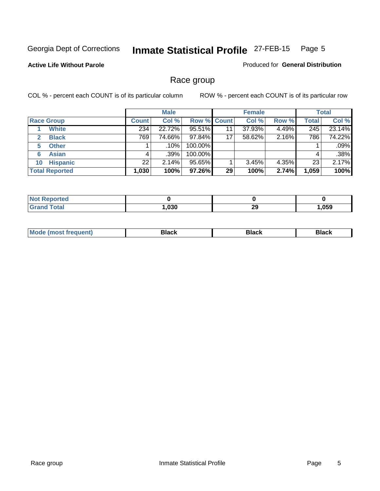#### **Active Life Without Parole**

Produced for **General Distribution**

### Race group

|                       | <b>Male</b>  |         |             | <b>Female</b> |        |       | <b>Total</b> |        |
|-----------------------|--------------|---------|-------------|---------------|--------|-------|--------------|--------|
| <b>Race Group</b>     | <b>Count</b> | Col %   | Row % Count |               | Col %  | Row % | <b>Total</b> | Col %  |
| <b>White</b>          | 234          | 22.72%  | 95.51%      | 11            | 37.93% | 4.49% | 245          | 23.14% |
| <b>Black</b><br>2     | 769          | 74.66%  | 97.84%      | 17            | 58.62% | 2.16% | 786          | 74.22% |
| <b>Other</b><br>5     |              | .10%    | 100.00%     |               |        |       |              | .09%   |
| <b>Asian</b><br>6     |              | $.39\%$ | 100.00%     |               |        |       | 4            | .38%   |
| <b>Hispanic</b><br>10 | 22           | 2.14%   | 95.65%      |               | 3.45%  | 4.35% | 23           | 2.17%  |
| <b>Total Reported</b> | 1,030        | 100%    | 97.26%      | 29            | 100%   | 2.74% | 1,059        | 100%   |

| <b>rted</b>  |      |           |        |
|--------------|------|-----------|--------|
| <b>Total</b> | .030 | nr.<br>∠ง | 059, ا |

| M |  |
|---|--|
|   |  |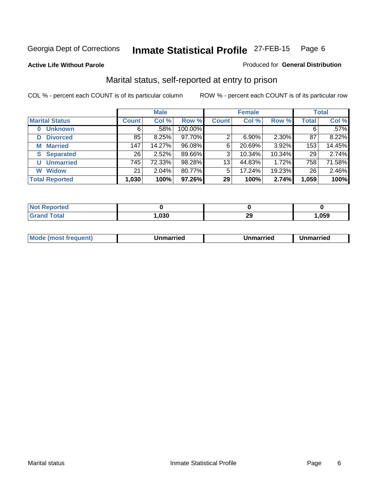#### **Active Life Without Parole**

#### Produced for **General Distribution**

### Marital status, self-reported at entry to prison

|                        |              | <b>Male</b> |         |              | <b>Female</b> |        |                 | <b>Total</b> |
|------------------------|--------------|-------------|---------|--------------|---------------|--------|-----------------|--------------|
| <b>Marital Status</b>  | <b>Count</b> | Col %       | Row %   | <b>Count</b> | Col %         | Row %  | <b>Total</b>    | Col %        |
| <b>Unknown</b>         | 6            | $.58\%$     | 100.00% |              |               |        | 6               | .57%         |
| <b>Divorced</b><br>D   | 85           | 8.25%       | 97.70%  | 2            | 6.90%         | 2.30%  | 87              | 8.22%        |
| <b>Married</b><br>М    | 147          | 14.27%      | 96.08%  | 6            | 20.69%        | 3.92%  | 153             | 14.45%       |
| <b>Separated</b><br>S. | 26           | 2.52%       | 89.66%  | 3            | 10.34%        | 10.34% | 29              | 2.74%        |
| <b>Unmarried</b><br>U  | 745          | 72.33%      | 98.28%  | 13           | 44.83%        | 1.72%  | 758             | 71.58%       |
| <b>Widow</b><br>W      | 21           | 2.04%       | 80.77%  | 5            | 17.24%        | 19.23% | 26 <sub>1</sub> | 2.46%        |
| <b>Total Reported</b>  | 1,030        | 100%        | 97.26%  | 29           | 100%          | 2.74%  | 1,059           | 100%         |

| $\sim$ 40 | .030 | nr.<br><u>r</u> | .059 |
|-----------|------|-----------------|------|

|  | Mode<br>(most frequent) | Jnmarried | Unmarried | Jnmarried |
|--|-------------------------|-----------|-----------|-----------|
|--|-------------------------|-----------|-----------|-----------|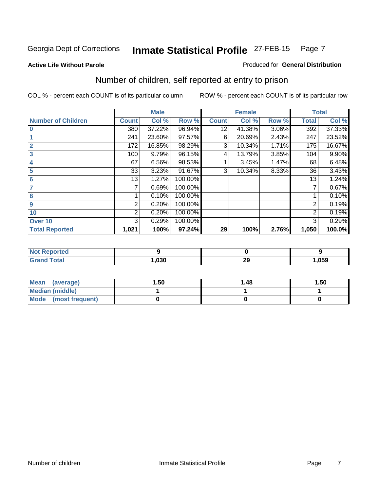#### **Active Life Without Parole**

#### Produced for **General Distribution**

## Number of children, self reported at entry to prison

|                           |              | <b>Male</b> |         |                 | <b>Female</b> |       |              | <b>Total</b> |
|---------------------------|--------------|-------------|---------|-----------------|---------------|-------|--------------|--------------|
| <b>Number of Children</b> | <b>Count</b> | Col %       | Row %   | <b>Count</b>    | Col %         | Row % | <b>Total</b> | Col %        |
| $\bf{0}$                  | 380          | 37.22%      | 96.94%  | $1\overline{2}$ | 41.38%        | 3.06% | 392          | 37.33%       |
|                           | 241          | 23.60%      | 97.57%  | 6               | 20.69%        | 2.43% | 247          | 23.52%       |
| $\overline{2}$            | 172          | 16.85%      | 98.29%  | 3               | 10.34%        | 1.71% | 175          | 16.67%       |
| 3                         | 100          | 9.79%       | 96.15%  | 4               | 13.79%        | 3.85% | 104          | 9.90%        |
| 4                         | 67           | 6.56%       | 98.53%  |                 | 3.45%         | 1.47% | 68           | 6.48%        |
| 5                         | 33           | 3.23%       | 91.67%  | 3               | 10.34%        | 8.33% | 36           | 3.43%        |
| $6\phantom{a}$            | 13           | 1.27%       | 100.00% |                 |               |       | 13           | 1.24%        |
| 7                         | 7            | 0.69%       | 100.00% |                 |               |       | 7            | 0.67%        |
| 8                         |              | 0.10%       | 100.00% |                 |               |       |              | 0.10%        |
| 9                         | 2            | 0.20%       | 100.00% |                 |               |       | 2            | 0.19%        |
| 10                        | 2            | 0.20%       | 100.00% |                 |               |       | 2            | 0.19%        |
| Over 10                   | 3            | 0.29%       | 100.00% |                 |               |       | 3            | 0.29%        |
| <b>Total Reported</b>     | 1,021        | 100%        | 97.24%  | 29              | 100%          | 2.76% | 1,050        | 100.0%       |

| <b>≃eporte</b> u<br>. |      |             |      |
|-----------------------|------|-------------|------|
| <b>otal</b>           | ,030 | $\sim$<br>∼ | .059 |

| Mean<br>(average)       | 1.50 | 1.48 | 1.50 |
|-------------------------|------|------|------|
| Median (middle)         |      |      |      |
| Mode<br>(most frequent) |      |      |      |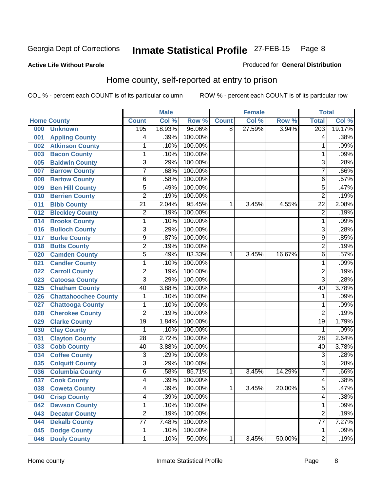#### **Active Life Without Parole**

#### Produced for **General Distribution**

### Home county, self-reported at entry to prison

|     |                             |                         | <b>Male</b> |         |              | <b>Female</b> |        | <b>Total</b>    |        |
|-----|-----------------------------|-------------------------|-------------|---------|--------------|---------------|--------|-----------------|--------|
|     | <b>Home County</b>          | <b>Count</b>            | Col %       | Row %   | <b>Count</b> | Col %         | Row %  | <b>Total</b>    | Col %  |
| 000 | <b>Unknown</b>              | 195                     | 18.93%      | 96.06%  | 8            | 27.59%        | 3.94%  | 203             | 19.17% |
| 001 | <b>Appling County</b>       | 4                       | .39%        | 100.00% |              |               |        | 4               | .38%   |
| 002 | <b>Atkinson County</b>      | 1                       | .10%        | 100.00% |              |               |        | 1               | .09%   |
| 003 | <b>Bacon County</b>         | 1                       | .10%        | 100.00% |              |               |        | 1               | .09%   |
| 005 | <b>Baldwin County</b>       | 3                       | .29%        | 100.00% |              |               |        | 3               | .28%   |
| 007 | <b>Barrow County</b>        | $\overline{7}$          | .68%        | 100.00% |              |               |        | $\overline{7}$  | .66%   |
| 008 | <b>Bartow County</b>        | $\overline{6}$          | .58%        | 100.00% |              |               |        | 6               | .57%   |
| 009 | <b>Ben Hill County</b>      | $\overline{5}$          | .49%        | 100.00% |              |               |        | $\overline{5}$  | .47%   |
| 010 | <b>Berrien County</b>       | 2                       | .19%        | 100.00% |              |               |        | 2               | .19%   |
| 011 | <b>Bibb County</b>          | $\overline{21}$         | 2.04%       | 95.45%  | 1            | 3.45%         | 4.55%  | $\overline{22}$ | 2.08%  |
| 012 | <b>Bleckley County</b>      | $\overline{\mathbf{c}}$ | .19%        | 100.00% |              |               |        | $\overline{2}$  | .19%   |
| 014 | <b>Brooks County</b>        | 1                       | .10%        | 100.00% |              |               |        | 1               | .09%   |
| 016 | <b>Bulloch County</b>       | 3                       | .29%        | 100.00% |              |               |        | 3               | .28%   |
| 017 | <b>Burke County</b>         | $\overline{9}$          | .87%        | 100.00% |              |               |        | 9               | .85%   |
| 018 | <b>Butts County</b>         | $\overline{2}$          | .19%        | 100.00% |              |               |        | $\overline{2}$  | .19%   |
| 020 | <b>Camden County</b>        | 5                       | .49%        | 83.33%  | 1            | 3.45%         | 16.67% | 6               | .57%   |
| 021 | <b>Candler County</b>       | 1                       | .10%        | 100.00% |              |               |        | 1               | .09%   |
| 022 | <b>Carroll County</b>       | $\overline{2}$          | .19%        | 100.00% |              |               |        | $\overline{2}$  | .19%   |
| 023 | <b>Catoosa County</b>       | $\overline{3}$          | .29%        | 100.00% |              |               |        | $\overline{3}$  | .28%   |
| 025 | <b>Chatham County</b>       | 40                      | 3.88%       | 100.00% |              |               |        | 40              | 3.78%  |
| 026 | <b>Chattahoochee County</b> | 1                       | .10%        | 100.00% |              |               |        | 1               | .09%   |
| 027 | <b>Chattooga County</b>     | 1                       | .10%        | 100.00% |              |               |        | 1               | .09%   |
| 028 | <b>Cherokee County</b>      | $\overline{2}$          | .19%        | 100.00% |              |               |        | $\overline{2}$  | .19%   |
| 029 | <b>Clarke County</b>        | $\overline{19}$         | 1.84%       | 100.00% |              |               |        | $\overline{19}$ | 1.79%  |
| 030 | <b>Clay County</b>          | 1                       | .10%        | 100.00% |              |               |        | 1               | .09%   |
| 031 | <b>Clayton County</b>       | $\overline{28}$         | 2.72%       | 100.00% |              |               |        | $\overline{28}$ | 2.64%  |
| 033 | <b>Cobb County</b>          | 40                      | 3.88%       | 100.00% |              |               |        | $\overline{40}$ | 3.78%  |
| 034 | <b>Coffee County</b>        | $\overline{3}$          | .29%        | 100.00% |              |               |        | 3               | .28%   |
| 035 | <b>Colquitt County</b>      | $\overline{3}$          | .29%        | 100.00% |              |               |        | $\overline{3}$  | .28%   |
| 036 | <b>Columbia County</b>      | $\overline{6}$          | .58%        | 85.71%  | 1            | 3.45%         | 14.29% | $\overline{7}$  | .66%   |
| 037 | <b>Cook County</b>          | 4                       | .39%        | 100.00% |              |               |        | 4               | .38%   |
| 038 | <b>Coweta County</b>        | 4                       | .39%        | 80.00%  | 1            | 3.45%         | 20.00% | 5               | .47%   |
| 040 | <b>Crisp County</b>         | 4                       | .39%        | 100.00% |              |               |        | 4               | .38%   |
| 042 | <b>Dawson County</b>        | 1                       | .10%        | 100.00% |              |               |        | 1               | .09%   |
| 043 | <b>Decatur County</b>       | $\overline{2}$          | .19%        | 100.00% |              |               |        | $\overline{2}$  | .19%   |
| 044 | <b>Dekalb County</b>        | $\overline{77}$         | 7.48%       | 100.00% |              |               |        | 77              | 7.27%  |
| 045 | <b>Dodge County</b>         | 1                       | .10%        | 100.00% |              |               |        | 1               | .09%   |
| 046 | <b>Dooly County</b>         | 1                       | .10%        | 50.00%  | 1            | 3.45%         | 50.00% | $\overline{2}$  | .19%   |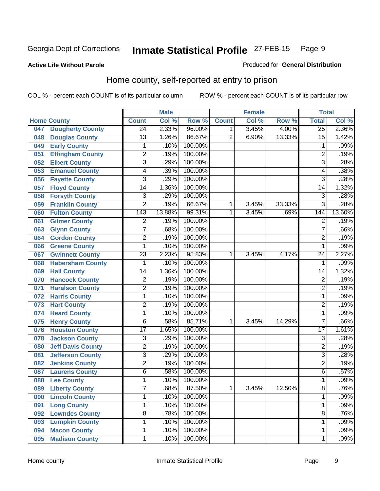#### **Active Life Without Parole**

#### Produced for **General Distribution**

### Home county, self-reported at entry to prison

|     |                          |                 | <b>Male</b> |         |                | <b>Female</b> |        | <b>Total</b>    |        |
|-----|--------------------------|-----------------|-------------|---------|----------------|---------------|--------|-----------------|--------|
|     | <b>Home County</b>       | <b>Count</b>    | Col %       | Row %   | <b>Count</b>   | Col %         | Row %  | <b>Total</b>    | Col %  |
| 047 | <b>Dougherty County</b>  | $\overline{24}$ | 2.33%       | 96.00%  | 1              | 3.45%         | 4.00%  | $\overline{25}$ | 2.36%  |
| 048 | <b>Douglas County</b>    | 13              | 1.26%       | 86.67%  | $\overline{2}$ | 6.90%         | 13.33% | $\overline{15}$ | 1.42%  |
| 049 | <b>Early County</b>      | $\mathbf 1$     | .10%        | 100.00% |                |               |        | 1               | .09%   |
| 051 | <b>Effingham County</b>  | $\overline{c}$  | .19%        | 100.00% |                |               |        | $\overline{2}$  | .19%   |
| 052 | <b>Elbert County</b>     | $\overline{3}$  | .29%        | 100.00% |                |               |        | $\overline{3}$  | .28%   |
| 053 | <b>Emanuel County</b>    | 4               | .39%        | 100.00% |                |               |        | 4               | .38%   |
| 056 | <b>Fayette County</b>    | $\overline{3}$  | .29%        | 100.00% |                |               |        | $\overline{3}$  | .28%   |
| 057 | <b>Floyd County</b>      | 14              | 1.36%       | 100.00% |                |               |        | 14              | 1.32%  |
| 058 | <b>Forsyth County</b>    | $\overline{3}$  | .29%        | 100.00% |                |               |        | $\overline{3}$  | .28%   |
| 059 | <b>Franklin County</b>   | $\overline{2}$  | .19%        | 66.67%  | 1              | 3.45%         | 33.33% | $\overline{3}$  | .28%   |
| 060 | <b>Fulton County</b>     | 143             | 13.88%      | 99.31%  | 1              | 3.45%         | .69%   | 144             | 13.60% |
| 061 | <b>Gilmer County</b>     | $\overline{c}$  | .19%        | 100.00% |                |               |        | $\overline{2}$  | .19%   |
| 063 | <b>Glynn County</b>      | $\overline{7}$  | .68%        | 100.00% |                |               |        | 7               | .66%   |
| 064 | <b>Gordon County</b>     | $\overline{2}$  | .19%        | 100.00% |                |               |        | $\overline{2}$  | .19%   |
| 066 | <b>Greene County</b>     | $\mathbf{1}$    | .10%        | 100.00% |                |               |        | 1               | .09%   |
| 067 | <b>Gwinnett County</b>   | $\overline{23}$ | 2.23%       | 95.83%  | 1              | 3.45%         | 4.17%  | 24              | 2.27%  |
| 068 | <b>Habersham County</b>  | 1               | .10%        | 100.00% |                |               |        | 1               | .09%   |
| 069 | <b>Hall County</b>       | 14              | 1.36%       | 100.00% |                |               |        | 14              | 1.32%  |
| 070 | <b>Hancock County</b>    | $\overline{2}$  | .19%        | 100.00% |                |               |        | $\overline{2}$  | .19%   |
| 071 | <b>Haralson County</b>   | $\overline{2}$  | .19%        | 100.00% |                |               |        | $\overline{2}$  | .19%   |
| 072 | <b>Harris County</b>     | $\mathbf 1$     | .10%        | 100.00% |                |               |        | 1               | .09%   |
| 073 | <b>Hart County</b>       | $\overline{2}$  | .19%        | 100.00% |                |               |        | $\overline{2}$  | .19%   |
| 074 | <b>Heard County</b>      | $\mathbf 1$     | .10%        | 100.00% |                |               |        | 1               | .09%   |
| 075 | <b>Henry County</b>      | 6               | .58%        | 85.71%  | 1              | 3.45%         | 14.29% | $\overline{7}$  | .66%   |
| 076 | <b>Houston County</b>    | $\overline{17}$ | 1.65%       | 100.00% |                |               |        | $\overline{17}$ | 1.61%  |
| 078 | <b>Jackson County</b>    | 3               | .29%        | 100.00% |                |               |        | $\overline{3}$  | .28%   |
| 080 | <b>Jeff Davis County</b> | $\overline{2}$  | .19%        | 100.00% |                |               |        | $\overline{2}$  | .19%   |
| 081 | <b>Jefferson County</b>  | $\overline{3}$  | .29%        | 100.00% |                |               |        | $\overline{3}$  | .28%   |
| 082 | <b>Jenkins County</b>    | $\overline{2}$  | .19%        | 100.00% |                |               |        | $\overline{2}$  | .19%   |
| 087 | <b>Laurens County</b>    | 6               | .58%        | 100.00% |                |               |        | $\overline{6}$  | .57%   |
| 088 | <b>Lee County</b>        | 1               | .10%        | 100.00% |                |               |        | 1               | .09%   |
| 089 | <b>Liberty County</b>    | 7               | .68%        | 87.50%  | 1              | 3.45%         | 12.50% | 8               | .76%   |
| 090 | <b>Lincoln County</b>    | 1               | .10%        | 100.00% |                |               |        | 1               | .09%   |
| 091 | <b>Long County</b>       | 1               | .10%        | 100.00% |                |               |        | 1               | .09%   |
| 092 | <b>Lowndes County</b>    | $\overline{8}$  | .78%        | 100.00% |                |               |        | $\overline{8}$  | .76%   |
| 093 | <b>Lumpkin County</b>    | 1               | .10%        | 100.00% |                |               |        | 1               | .09%   |
| 094 | <b>Macon County</b>      | 1               | .10%        | 100.00% |                |               |        | 1               | .09%   |
| 095 | <b>Madison County</b>    | 1               | .10%        | 100.00% |                |               |        | 1               | .09%   |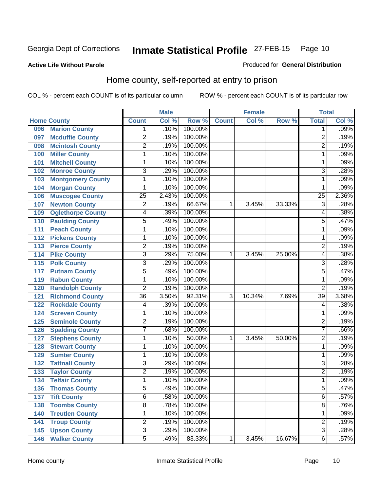#### **Active Life Without Parole**

#### Produced for **General Distribution**

### Home county, self-reported at entry to prison

|     |                          |                 | <b>Male</b> |         |              | <b>Female</b> |        | <b>Total</b>    |       |
|-----|--------------------------|-----------------|-------------|---------|--------------|---------------|--------|-----------------|-------|
|     | <b>Home County</b>       | <b>Count</b>    | Col %       | Row %   | <b>Count</b> | Col %         | Row %  | <b>Total</b>    | Col % |
| 096 | <b>Marion County</b>     | $\mathbf 1$     | .10%        | 100.00% |              |               |        | 1               | .09%  |
| 097 | <b>Mcduffie County</b>   | $\overline{2}$  | .19%        | 100.00% |              |               |        | $\overline{2}$  | .19%  |
| 098 | <b>Mcintosh County</b>   | $\overline{2}$  | .19%        | 100.00% |              |               |        | $\overline{2}$  | .19%  |
| 100 | <b>Miller County</b>     | $\mathbf{1}$    | .10%        | 100.00% |              |               |        | 1               | .09%  |
| 101 | <b>Mitchell County</b>   | 1               | .10%        | 100.00% |              |               |        | 1               | .09%  |
| 102 | <b>Monroe County</b>     | 3               | .29%        | 100.00% |              |               |        | 3               | .28%  |
| 103 | <b>Montgomery County</b> | $\mathbf 1$     | .10%        | 100.00% |              |               |        | 1               | .09%  |
| 104 | <b>Morgan County</b>     | 1               | .10%        | 100.00% |              |               |        | 1               | .09%  |
| 106 | <b>Muscogee County</b>   | $\overline{25}$ | 2.43%       | 100.00% |              |               |        | $\overline{25}$ | 2.36% |
| 107 | <b>Newton County</b>     | $\overline{2}$  | .19%        | 66.67%  | 1            | 3.45%         | 33.33% | 3               | .28%  |
| 109 | <b>Oglethorpe County</b> | 4               | .39%        | 100.00% |              |               |        | 4               | .38%  |
| 110 | <b>Paulding County</b>   | 5               | .49%        | 100.00% |              |               |        | 5               | .47%  |
| 111 | <b>Peach County</b>      | $\mathbf 1$     | .10%        | 100.00% |              |               |        | 1               | .09%  |
| 112 | <b>Pickens County</b>    | $\mathbf 1$     | .10%        | 100.00% |              |               |        | 1               | .09%  |
| 113 | <b>Pierce County</b>     | $\overline{c}$  | .19%        | 100.00% |              |               |        | 2               | .19%  |
| 114 | <b>Pike County</b>       | $\overline{3}$  | .29%        | 75.00%  | 1            | 3.45%         | 25.00% | 4               | .38%  |
| 115 | <b>Polk County</b>       | $\overline{3}$  | .29%        | 100.00% |              |               |        | 3               | .28%  |
| 117 | <b>Putnam County</b>     | $\overline{5}$  | .49%        | 100.00% |              |               |        | $\overline{5}$  | .47%  |
| 119 | <b>Rabun County</b>      | 1               | .10%        | 100.00% |              |               |        | 1               | .09%  |
| 120 | <b>Randolph County</b>   | $\overline{2}$  | .19%        | 100.00% |              |               |        | $\overline{2}$  | .19%  |
| 121 | <b>Richmond County</b>   | 36              | 3.50%       | 92.31%  | 3            | 10.34%        | 7.69%  | $\overline{39}$ | 3.68% |
| 122 | <b>Rockdale County</b>   | 4               | .39%        | 100.00% |              |               |        | 4               | .38%  |
| 124 | <b>Screven County</b>    | 1               | .10%        | 100.00% |              |               |        | 1               | .09%  |
| 125 | <b>Seminole County</b>   | $\overline{2}$  | .19%        | 100.00% |              |               |        | 2               | .19%  |
| 126 | <b>Spalding County</b>   | $\overline{7}$  | .68%        | 100.00% |              |               |        | 7               | .66%  |
| 127 | <b>Stephens County</b>   | $\mathbf 1$     | .10%        | 50.00%  | 1            | 3.45%         | 50.00% | $\overline{2}$  | .19%  |
| 128 | <b>Stewart County</b>    | $\mathbf 1$     | .10%        | 100.00% |              |               |        | 1               | .09%  |
| 129 | <b>Sumter County</b>     | $\mathbf 1$     | .10%        | 100.00% |              |               |        | 1               | .09%  |
| 132 | <b>Tattnall County</b>   | $\overline{3}$  | .29%        | 100.00% |              |               |        | 3               | .28%  |
| 133 | <b>Taylor County</b>     | $\overline{2}$  | .19%        | 100.00% |              |               |        | $\overline{2}$  | .19%  |
| 134 | <b>Telfair County</b>    | 1               | .10%        | 100.00% |              |               |        | 1               | .09%  |
| 136 | <b>Thomas County</b>     | $\overline{5}$  | .49%        | 100.00% |              |               |        | 5               | .47%  |
| 137 | <b>Tift County</b>       | $\overline{6}$  | .58%        | 100.00% |              |               |        | 6               | .57%  |
| 138 | <b>Toombs County</b>     | $\overline{8}$  | .78%        | 100.00% |              |               |        | $\overline{8}$  | .76%  |
| 140 | <b>Treutlen County</b>   | 1               | .10%        | 100.00% |              |               |        | 1               | .09%  |
| 141 | <b>Troup County</b>      | $\overline{2}$  | .19%        | 100.00% |              |               |        | 2               | .19%  |
| 145 | <b>Upson County</b>      | $\overline{3}$  | .29%        | 100.00% |              |               |        | $\overline{3}$  | .28%  |
| 146 | <b>Walker County</b>     | $\overline{5}$  | .49%        | 83.33%  | 1            | 3.45%         | 16.67% | $\overline{6}$  | .57%  |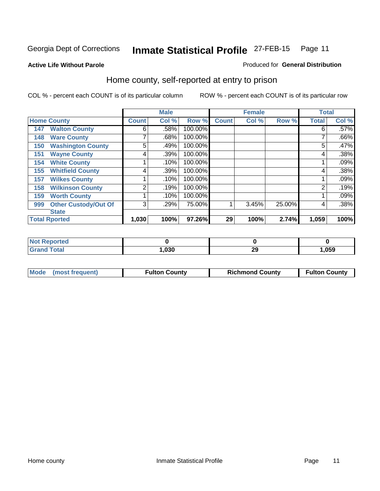Produced for **General Distribution**

#### **Active Life Without Parole**

### Home county, self-reported at entry to prison

|     |                             |              | <b>Male</b> |         |              | <b>Female</b> |        | <b>Total</b> |       |
|-----|-----------------------------|--------------|-------------|---------|--------------|---------------|--------|--------------|-------|
|     | <b>Home County</b>          | <b>Count</b> | Col %       | Row %   | <b>Count</b> | Col %         | Row %  | <b>Total</b> | Col % |
| 147 | <b>Walton County</b>        | 6            | .58%        | 100.00% |              |               |        | 6            | .57%  |
| 148 | <b>Ware County</b>          | ⇁            | .68%        | 100.00% |              |               |        |              | .66%  |
| 150 | <b>Washington County</b>    | 5            | .49%        | 100.00% |              |               |        | 5            | .47%  |
| 151 | <b>Wayne County</b>         | 4            | .39%        | 100.00% |              |               |        | 4            | .38%  |
| 154 | <b>White County</b>         |              | .10%        | 100.00% |              |               |        |              | .09%  |
| 155 | <b>Whitfield County</b>     | 4            | .39%        | 100.00% |              |               |        | 4            | .38%  |
| 157 | <b>Wilkes County</b>        |              | .10%        | 100.00% |              |               |        |              | .09%  |
| 158 | <b>Wilkinson County</b>     | 2            | .19%        | 100.00% |              |               |        | 2            | .19%  |
| 159 | <b>Worth County</b>         |              | .10%        | 100.00% |              |               |        |              | .09%  |
| 999 | <b>Other Custody/Out Of</b> | 3            | .29%        | 75.00%  |              | 3.45%         | 25.00% | 4            | .38%  |
|     | <b>State</b>                |              |             |         |              |               |        |              |       |
|     | <b>Total Rported</b>        | 1,030        | 100%        | 97.26%  | 29           | 100%          | 2.74%  | 1,059        | 100%  |

| <b>Not</b><br><b>orted</b><br>Renu |      |    |      |
|------------------------------------|------|----|------|
| <b>Total</b><br><b>Grand</b>       | ,030 | ∼∽ | 59,ا |

| Mode (most frequent) | <b>Fulton County</b> | <b>Richmond County</b> | <b>Fulton County</b> |
|----------------------|----------------------|------------------------|----------------------|
|                      |                      |                        |                      |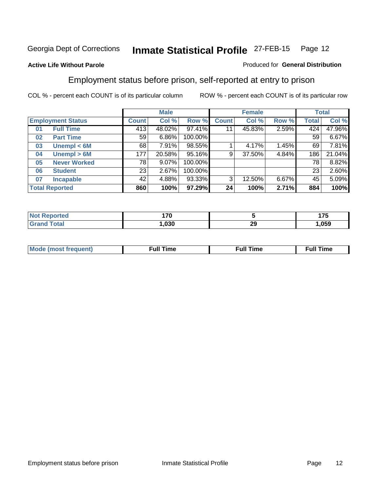#### **Active Life Without Parole**

#### Produced for **General Distribution**

### Employment status before prison, self-reported at entry to prison

|    |                          |                 | <b>Male</b> |         |              | <b>Female</b> |       |       | <b>Total</b> |
|----|--------------------------|-----------------|-------------|---------|--------------|---------------|-------|-------|--------------|
|    | <b>Employment Status</b> | Count           | Col %       | Row %   | <b>Count</b> | Col %         | Row % | Total | Col %        |
| 01 | <b>Full Time</b>         | 413             | 48.02%      | 97.41%  | 11           | 45.83%        | 2.59% | 424   | 47.96%       |
| 02 | <b>Part Time</b>         | 59 <sub>1</sub> | 6.86%       | 100.00% |              |               |       | 59    | 6.67%        |
| 03 | Unempl $<$ 6M            | 68              | 7.91%       | 98.55%  |              | 4.17%         | 1.45% | 69    | 7.81%        |
| 04 | Unempl > 6M              | 177             | 20.58%      | 95.16%  | 9            | 37.50%        | 4.84% | 186   | 21.04%       |
| 05 | <b>Never Worked</b>      | 78              | 9.07%       | 100.00% |              |               |       | 78    | 8.82%        |
| 06 | <b>Student</b>           | 23              | 2.67%       | 100.00% |              |               |       | 23    | 2.60%        |
| 07 | <b>Incapable</b>         | 42              | 4.88%       | 93.33%  | 3            | 12.50%        | 6.67% | 45    | 5.09%        |
|    | <b>Total Reported</b>    | 860             | 100%        | 97.29%  | 24           | 100%          | 2.71% | 884   | 100%         |

| чес                | .<br>1 <i>I</i> V |           | 4 7 E<br>w<br>$\sim$ |
|--------------------|-------------------|-----------|----------------------|
| $T_{\text{total}}$ | ,030              | nr.<br>~~ | .059                 |

| <b>M</b> ດ | the contract of the contract of the contract of the contract of the contract of the contract of the contract of | , ull i<br>ıme | ïme<br>uı<br>$\sim$ $\sim$ $\sim$ $\sim$ $\sim$ |
|------------|-----------------------------------------------------------------------------------------------------------------|----------------|-------------------------------------------------|
|            |                                                                                                                 |                |                                                 |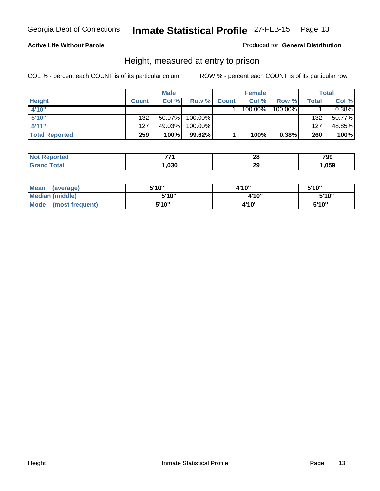#### **Active Life Without Parole**

#### Produced for **General Distribution**

### Height, measured at entry to prison

|                       |              | <b>Male</b> |         |              | <b>Female</b> |         |       | <b>Total</b> |
|-----------------------|--------------|-------------|---------|--------------|---------------|---------|-------|--------------|
| <b>Height</b>         | <b>Count</b> | Col %       | Row %   | <b>Count</b> | Col %         | Row %   | Total | Col %        |
| 4'10"                 |              |             |         |              | 100.00%       | 100.00% |       | 0.38%        |
| 5'10''                | 132          | $50.97\%$   | 100.00% |              |               |         | 132   | 50.77%       |
| 5'11''                | 127          | 49.03%      | 100.00% |              |               |         | 127   | 48.85%       |
| <b>Total Reported</b> | 259          | 100%        | 99.62%  |              | 100%          | 0.38%   | 260   | 100%         |

| <b>Not</b>         | --   | n.       | 799  |
|--------------------|------|----------|------|
| <b>Reported</b>    |      | ZU       |      |
| <b>Grand Total</b> | ,030 | າເ<br>2J | ,059 |

| <b>Mean</b><br>(average) | 5'10" | 4'10" | 5'10'' |
|--------------------------|-------|-------|--------|
| Median (middle)          | 5'10" | 4'10" | 5'10"  |
| Mode<br>(most frequent)  | 5'10" | 4'10" | 5'10"  |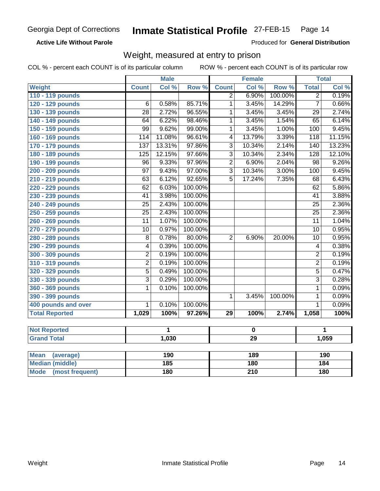**Active Life Without Parole** 

Produced for **General Distribution**

### Weight, measured at entry to prison

|                                |                  | <b>Male</b> |         |                          | <b>Female</b> |         |                  | <b>Total</b>    |
|--------------------------------|------------------|-------------|---------|--------------------------|---------------|---------|------------------|-----------------|
| Weight                         | <b>Count</b>     | Col %       | Row %   | <b>Count</b>             | Col %         | Row %   | <b>Total</b>     | Col %           |
| 110 - 119 pounds               |                  |             |         | $\overline{2}$           | 6.90%         | 100.00% | $\overline{2}$   | 0.19%           |
| 120 - 129 pounds               | $\overline{6}$   | 0.58%       | 85.71%  | 1                        | 3.45%         | 14.29%  | $\overline{7}$   | 0.66%           |
| 130 - 139 pounds               | $\overline{28}$  | 2.72%       | 96.55%  | 1                        | 3.45%         | 3.45%   | $\overline{29}$  | 2.74%           |
| 140 - 149 pounds               | 64               | 6.22%       | 98.46%  | 1                        | 3.45%         | 1.54%   | $\overline{65}$  | 6.14%           |
| 150 - 159 pounds               | $\overline{99}$  | 9.62%       | 99.00%  | 1                        | 3.45%         | 1.00%   | $\overline{100}$ | 9.45%           |
| 160 - 169 pounds               | 114              | 11.08%      | 96.61%  | $\overline{\mathcal{A}}$ | 13.79%        | 3.39%   | 118              | 11.15%          |
| 170 - 179 pounds               | $\overline{137}$ | 13.31%      | 97.86%  | $\overline{3}$           | 10.34%        | 2.14%   | 140              | 13.23%          |
| 180 - 189 pounds               | $\overline{125}$ | 12.15%      | 97.66%  | $\overline{3}$           | 10.34%        | 2.34%   | 128              | 12.10%          |
| 190 - 199 pounds               | $\overline{96}$  | 9.33%       | 97.96%  | $\overline{2}$           | 6.90%         | 2.04%   | $\overline{98}$  | 9.26%           |
| 200 - 209 pounds               | $\overline{97}$  | 9.43%       | 97.00%  | $\overline{3}$           | 10.34%        | 3.00%   | 100              | 9.45%           |
| 210 - 219 pounds               | 63               | 6.12%       | 92.65%  | $\overline{5}$           | 17.24%        | 7.35%   | $\overline{68}$  | 6.43%           |
| 220 - 229 pounds               | $\overline{62}$  | 6.03%       | 100.00% |                          |               |         | $\overline{62}$  | 5.86%           |
| 230 - 239 pounds               | $\overline{41}$  | 3.98%       | 100.00% |                          |               |         | $\overline{41}$  | 3.88%           |
| 240 - 249 pounds               | $\overline{25}$  | 2.43%       | 100.00% |                          |               |         | $\overline{25}$  | 2.36%           |
| 250 - 259 pounds               | $\overline{25}$  | 2.43%       | 100.00% |                          |               |         | $\overline{25}$  | 2.36%           |
| 260 - 269 pounds               | $\overline{11}$  | 1.07%       | 100.00% |                          |               |         | $\overline{11}$  | 1.04%           |
| 270 - 279 pounds               | $\overline{10}$  | 0.97%       | 100.00% |                          |               |         | $\overline{10}$  | 0.95%           |
| 280 - 289 pounds               | $\overline{8}$   | 0.78%       | 80.00%  | $\overline{2}$           | 6.90%         | 20.00%  | 10               | 0.95%           |
| 290 - 299 pounds               | 4                | 0.39%       | 100.00% |                          |               |         | 4                | 0.38%           |
| 300 - 309 pounds               | $\overline{2}$   | 0.19%       | 100.00% |                          |               |         | $\overline{2}$   | 0.19%           |
| 310 - 319 pounds               | $\overline{2}$   | 0.19%       | 100.00% |                          |               |         | $\overline{2}$   | 0.19%           |
| 320 - 329 pounds               | $\overline{5}$   | 0.49%       | 100.00% |                          |               |         | $\overline{5}$   | 0.47%           |
| 330 - 339 pounds               | $\overline{3}$   | 0.29%       | 100.00% |                          |               |         | $\overline{3}$   | 0.28%           |
| 360 - 369 pounds               | $\overline{1}$   | 0.10%       | 100.00% |                          |               |         | $\overline{1}$   | 0.09%           |
| 390 - 399 pounds               |                  |             |         | 1                        | 3.45%         | 100.00% | $\overline{1}$   | 0.09%           |
| 400 pounds and over            | 1                | 0.10%       | 100.00% |                          |               |         | $\overline{1}$   | 0.09%           |
| <b>Total Reported</b>          | 1,029            | 100%        | 97.26%  | 29                       | 100%          | 2.74%   | 1,058            | 100%            |
|                                |                  |             |         |                          |               |         |                  |                 |
| <b>Not Reported</b>            |                  | 1           |         |                          | $\mathbf 0$   |         |                  | 1               |
| <b>Grand Total</b>             |                  | 1,030       |         |                          | 29            |         |                  | 1,059           |
|                                |                  |             |         |                          |               |         |                  |                 |
| <b>Mean</b><br>(average)       |                  | 190         |         |                          | 189           |         |                  | 190             |
| <b>Median (middle)</b>         |                  | 185         |         |                          | 180           |         |                  | $\frac{1}{184}$ |
| <b>Mode</b><br>(most frequent) |                  | 180         |         |                          | 210           |         |                  | 180             |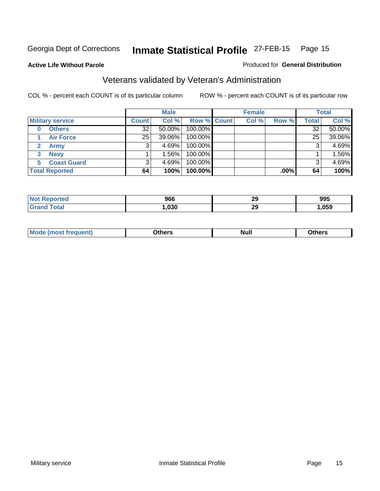**Active Life Without Parole** 

#### Produced for **General Distribution**

## Veterans validated by Veteran's Administration

|                         |                 | <b>Male</b> |             | <b>Female</b> |         |              | <b>Total</b> |
|-------------------------|-----------------|-------------|-------------|---------------|---------|--------------|--------------|
| <b>Military service</b> | <b>Count</b>    | Col %       | Row % Count | Col %         | Row %   | <b>Total</b> | Col %        |
| <b>Others</b><br>0      | 32              | $50.00\%$   | 100.00%     |               |         | 32           | 50.00%       |
| <b>Air Force</b>        | 25 <sub>1</sub> | 39.06%      | 100.00%     |               |         | 25           | 39.06%       |
| <b>Army</b>             |                 | $4.69\%$    | 100.00%     |               |         | 3            | 4.69%        |
| <b>Navy</b><br>3        |                 | $1.56\%$    | 100.00%     |               |         |              | 1.56%        |
| <b>Coast Guard</b><br>5 |                 | $4.69\%$    | 100.00%     |               |         |              | 4.69%        |
| <b>Total Reported</b>   | 64              | 100%        | 100.00%     |               | $.00\%$ | 64           | 100%         |

|             | 966  | oc.<br>23 | 995  |
|-------------|------|-----------|------|
| $C = 4 - 7$ | .030 | oc.<br>23 | ,059 |

| Nul.<br>____<br>____ |
|----------------------|
|----------------------|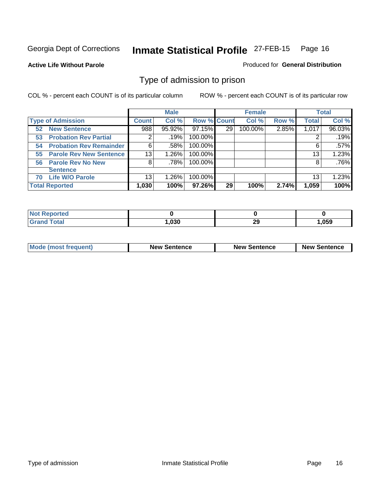**Active Life Without Parole** 

Produced for **General Distribution**

### Type of admission to prison

|                                      |                | <b>Male</b> |                    |    | <b>Female</b> |       |              | <b>Total</b> |
|--------------------------------------|----------------|-------------|--------------------|----|---------------|-------|--------------|--------------|
| <b>Type of Admission</b>             | <b>Count</b>   | Col %       | <b>Row % Count</b> |    | Col %         | Row % | <b>Total</b> | Col %        |
| <b>New Sentence</b><br>52            | 988            | 95.92%      | 97.15%             | 29 | 100.00%       | 2.85% | 1,017        | 96.03%       |
| <b>Probation Rev Partial</b><br>53   | $\overline{2}$ | .19%        | 100.00%            |    |               |       |              | .19%         |
| <b>Probation Rev Remainder</b><br>54 | 6              | .58%        | 100.00%            |    |               |       | 6            | .57%         |
| <b>Parole Rev New Sentence</b><br>55 | 13             | 1.26%       | 100.00%            |    |               |       | 13           | 1.23%        |
| 56 Parole Rev No New                 | 8              | .78%        | 100.00%            |    |               |       | 8            | .76%         |
| <b>Sentence</b>                      |                |             |                    |    |               |       |              |              |
| <b>Life W/O Parole</b><br>70         | 13             | 1.26%       | 100.00%            |    |               |       | 13           | 1.23%        |
| <b>Total Reported</b>                | 1,030          | 100%        | 97.26%             | 29 | 100%          | 2.74% | 1,059        | 100%         |

| ortea |      |         |        |
|-------|------|---------|--------|
| int   | ,030 | ົ<br>∼∸ | 059, ا |

| <b>Mode (most frequent)</b> | <b>New Sentence</b> | <b>New Sentence</b> | <b>New Sentence</b> |
|-----------------------------|---------------------|---------------------|---------------------|
|                             |                     |                     |                     |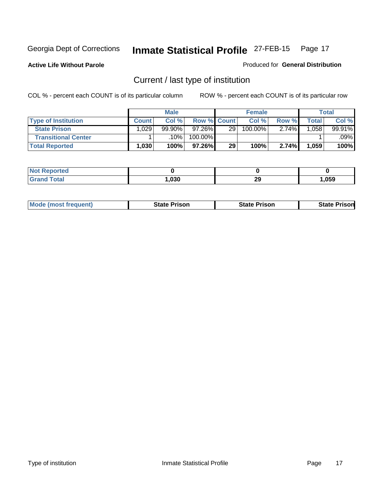**Active Life Without Parole** 

Produced for **General Distribution**

## Current / last type of institution

|                            |              | <b>Male</b> |                    |    | <b>Female</b> |       |       | <b>Total</b> |
|----------------------------|--------------|-------------|--------------------|----|---------------|-------|-------|--------------|
| <b>Type of Institution</b> | <b>Count</b> | Col%        | <b>Row % Count</b> |    | Col %         | Row % | Total | Col %        |
| <b>State Prison</b>        | .029         | 99.90%      | 97.26%             | 29 | 100.00%       | 2.74% | .058  | 99.91%       |
| <b>Transitional Center</b> |              | 10%         | 100.00%            |    |               |       |       | .09%l        |
| <b>Total Reported</b>      | 1.030        | 100%        | 97.26%             | 29 | 100%          | 2.74% | 1,059 | 100%         |

| ec |               |          |      |
|----|---------------|----------|------|
|    | . ner<br>บ.รเ | ኅር<br>29 | ,059 |

| <b>Mode</b><br>: (most frequent) | State Prison | <b>State Prison</b> | Prisonl<br><b>State</b> |
|----------------------------------|--------------|---------------------|-------------------------|
|                                  |              |                     |                         |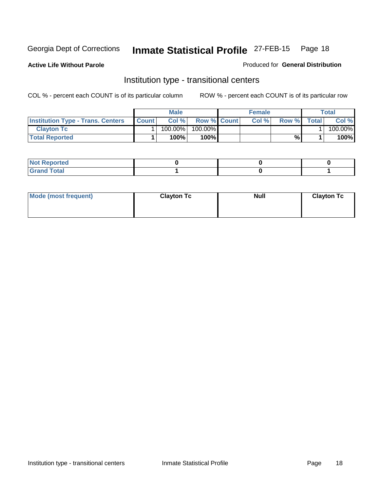**Active Life Without Parole** 

#### Produced for **General Distribution**

### Institution type - transitional centers

|                                          |              | <b>Male</b> |                    | <b>Female</b> |              |              | Total   |
|------------------------------------------|--------------|-------------|--------------------|---------------|--------------|--------------|---------|
| <b>Institution Type - Trans. Centers</b> | <b>Count</b> | Col%        | <b>Row % Count</b> | Col %         | <b>Row %</b> | <b>Total</b> | Col %   |
| <b>Clayton Tc</b>                        |              | $100.00\%$  | $100.00\%$         |               |              |              | 100.00% |
| <b>Total Reported</b>                    |              | 100%        | 100% <b>I</b>      |               | %            |              | 100%    |

| <b>Not Reported</b>                        |  |  |
|--------------------------------------------|--|--|
| <b>Total</b><br>C <sub>rar</sub><br>______ |  |  |

| Mode (most frequent) | <b>Clayton Tc</b> | <b>Null</b> | <b>Clayton Tc</b> |
|----------------------|-------------------|-------------|-------------------|
|                      |                   |             |                   |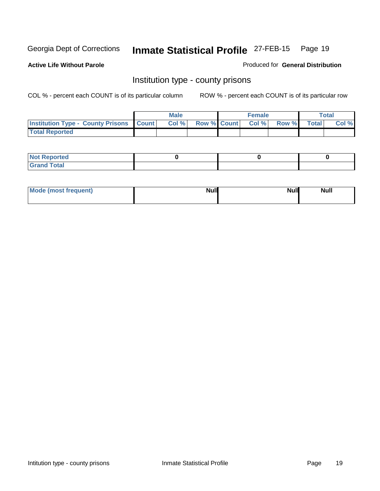**Active Life Without Parole** 

Produced for **General Distribution**

### Institution type - county prisons

|                                                    | <b>Male</b> |                          | <b>Female</b> |       |              | Total |
|----------------------------------------------------|-------------|--------------------------|---------------|-------|--------------|-------|
| <b>Institution Type - County Prisons   Count  </b> | Col %       | <b>Row % Count Col %</b> |               | Row % | <b>Total</b> | Col % |
| <b>Total Reported</b>                              |             |                          |               |       |              |       |

| <b>Not</b><br><b>Reported</b> |  |  |
|-------------------------------|--|--|
| <b>Grand Total</b>            |  |  |

| Mode (most frequent) | <b>Null</b> | <b>Null</b><br><b>Null</b> |
|----------------------|-------------|----------------------------|
|                      |             |                            |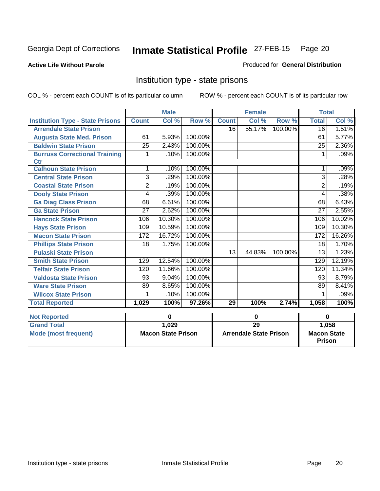**Active Life Without Parole** 

Produced for **General Distribution**

### Institution type - state prisons

|                                         |                 | <b>Male</b>               |         |              | <b>Female</b>                 |         | <b>Total</b>                 |          |
|-----------------------------------------|-----------------|---------------------------|---------|--------------|-------------------------------|---------|------------------------------|----------|
| <b>Institution Type - State Prisons</b> | <b>Count</b>    | Col %                     | Row %   | <b>Count</b> | Col %                         | Row %   | <b>Total</b>                 | Col %    |
| <b>Arrendale State Prison</b>           |                 |                           |         | 16           | 55.17%                        | 100.00% | $\overline{16}$              | 1.51%    |
| <b>Augusta State Med. Prison</b>        | 61              | 5.93%                     | 100.00% |              |                               |         | 61                           | 5.77%    |
| <b>Baldwin State Prison</b>             | $\overline{25}$ | 2.43%                     | 100.00% |              |                               |         | $\overline{25}$              | 2.36%    |
| <b>Burruss Correctional Training</b>    | 1               | .10%                      | 100.00% |              |                               |         | 1                            | .09%     |
| <b>Ctr</b>                              |                 |                           |         |              |                               |         |                              |          |
| <b>Calhoun State Prison</b>             | 1               | .10%                      | 100.00% |              |                               |         |                              | .09%     |
| <b>Central State Prison</b>             | 3               | .29%                      | 100.00% |              |                               |         | 3                            | .28%     |
| <b>Coastal State Prison</b>             | 2               | .19%                      | 100.00% |              |                               |         | $\overline{2}$               | .19%     |
| <b>Dooly State Prison</b>               | 4               | .39%                      | 100.00% |              |                               |         | 4                            | .38%     |
| <b>Ga Diag Class Prison</b>             | 68              | 6.61%                     | 100.00% |              |                               |         | 68                           | 6.43%    |
| <b>Ga State Prison</b>                  | $\overline{27}$ | 2.62%                     | 100.00% |              |                               |         | 27                           | 2.55%    |
| <b>Hancock State Prison</b>             | 106             | 10.30%                    | 100.00% |              |                               |         | 106                          | 10.02%   |
| <b>Hays State Prison</b>                | 109             | 10.59%                    | 100.00% |              |                               |         | 109                          | 10.30%   |
| <b>Macon State Prison</b>               | 172             | 16.72%                    | 100.00% |              |                               |         | 172                          | 16.26%   |
| <b>Phillips State Prison</b>            | 18              | 1.75%                     | 100.00% |              |                               |         | 18                           | 1.70%    |
| <b>Pulaski State Prison</b>             |                 |                           |         | 13           | 44.83%                        | 100.00% | $\overline{13}$              | 1.23%    |
| <b>Smith State Prison</b>               | 129             | 12.54%                    | 100.00% |              |                               |         | 129                          | 12.19%   |
| <b>Telfair State Prison</b>             | 120             | 11.66%                    | 100.00% |              |                               |         | 120                          | 11.34%   |
| <b>Valdosta State Prison</b>            | 93              | 9.04%                     | 100.00% |              |                               |         | 93                           | 8.79%    |
| <b>Ware State Prison</b>                | 89              | 8.65%                     | 100.00% |              |                               |         | 89                           | 8.41%    |
| <b>Wilcox State Prison</b>              |                 | .10%                      | 100.00% |              |                               |         |                              | .09%     |
| <b>Total Reported</b>                   | 1,029           | 100%                      | 97.26%  | 29           | 100%                          | 2.74%   | 1,058                        | 100%     |
|                                         |                 |                           |         |              |                               |         |                              |          |
| <b>Not Reported</b>                     |                 | 0                         |         | $\bf{0}$     |                               |         |                              | $\bf{0}$ |
| <b>Grand Total</b>                      |                 | 1,029                     |         |              | 29                            |         |                              | 1,058    |
| <b>Mode (most frequent)</b>             |                 | <b>Macon State Prison</b> |         |              | <b>Arrendale State Prison</b> |         | <b>Macon State</b><br>Prison |          |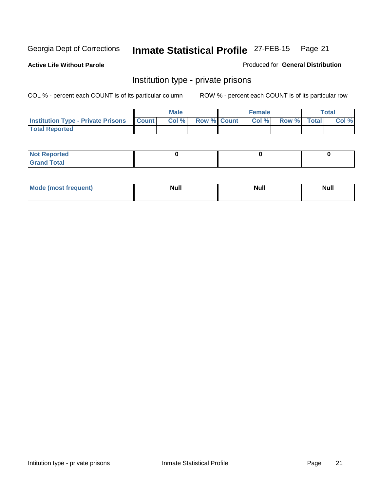**Active Life Without Parole** 

Produced for **General Distribution**

### Institution type - private prisons

|                                                     | <b>Male</b> |                    | <b>Female</b> |             | <b>Total</b> |
|-----------------------------------------------------|-------------|--------------------|---------------|-------------|--------------|
| <b>Institution Type - Private Prisons   Count  </b> | Col %       | <b>Row % Count</b> | Col%          | Row % Total | Col %        |
| <b>Total Reported</b>                               |             |                    |               |             |              |

| <b>Not Reported</b>             |  |  |
|---------------------------------|--|--|
| Cotal<br>Cror<br>. <del>.</del> |  |  |

| Mode (most  | <b>Null</b> | <b>Null</b> | Null |
|-------------|-------------|-------------|------|
| frequent) * |             |             |      |
|             |             |             |      |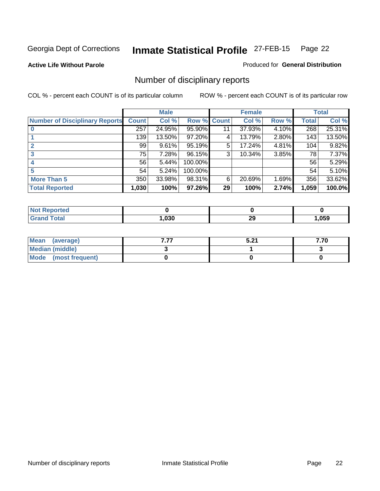**Active Life Without Parole** 

Produced for **General Distribution**

## Number of disciplinary reports

|                                       |              | <b>Male</b> |                    |    | <b>Female</b> |       |              | <b>Total</b> |
|---------------------------------------|--------------|-------------|--------------------|----|---------------|-------|--------------|--------------|
| <b>Number of Disciplinary Reports</b> | <b>Count</b> | Col %       | <b>Row % Count</b> |    | Col %         | Row % | <b>Total</b> | Col %        |
|                                       | 257          | 24.95%      | 95.90%             | 11 | 37.93%        | 4.10% | 268          | 25.31%       |
|                                       | 139          | 13.50%      | 97.20%             | 4  | 13.79%        | 2.80% | 143          | 13.50%       |
| 2                                     | 99           | 9.61%       | 95.19%             | 5  | 17.24%        | 4.81% | 104          | 9.82%        |
| 3                                     | 75           | 7.28%       | 96.15%             | 3  | 10.34%        | 3.85% | 78           | 7.37%        |
|                                       | 56           | 5.44%       | 100.00%            |    |               |       | 56           | 5.29%        |
| 5                                     | 54           | 5.24%       | 100.00%            |    |               |       | 54           | 5.10%        |
| <b>More Than 5</b>                    | 350          | 33.98%      | 98.31%             | 6  | 20.69%        | 1.69% | 356          | 33.62%       |
| <b>Total Reported</b>                 | 1,030        | 100%        | 97.26%             | 29 | 100%          | 2.74% | 1,059        | 100.0%       |

| N<br>тес        |      |              |      |
|-----------------|------|--------------|------|
| $\sim$<br>_____ | ,030 | 29<br>$\sim$ | ,059 |

| Mean (average)       | . | E 94<br>J.Z I | 7.70 |
|----------------------|---|---------------|------|
| Median (middle)      |   |               |      |
| Mode (most frequent) |   |               |      |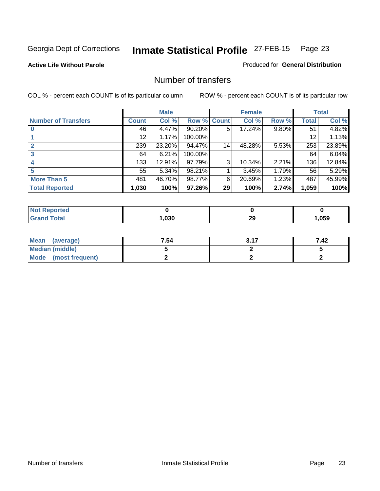#### **Active Life Without Parole**

#### Produced for **General Distribution**

### Number of transfers

|                            |              | <b>Male</b> |         |              | <b>Female</b> |          |                 | <b>Total</b> |
|----------------------------|--------------|-------------|---------|--------------|---------------|----------|-----------------|--------------|
| <b>Number of Transfers</b> | <b>Count</b> | Col %       | Row %   | <b>Count</b> | Col %         | Row %    | <b>Total</b>    | Col %        |
|                            | 46           | 4.47%       | 90.20%  | 5            | 17.24%        | $9.80\%$ | $\overline{5}1$ | 4.82%        |
|                            | 12           | 1.17%       | 100.00% |              |               |          | 12              | 1.13%        |
|                            | 239          | 23.20%      | 94.47%  | 14           | 48.28%        | 5.53%    | 253             | 23.89%       |
|                            | 64           | 6.21%       | 100.00% |              |               |          | 64              | 6.04%        |
| 4                          | 133          | 12.91%      | 97.79%  | 3            | 10.34%        | 2.21%    | 136             | 12.84%       |
|                            | 55           | 5.34%       | 98.21%  |              | 3.45%         | 1.79%    | 56              | 5.29%        |
| <b>More Than 5</b>         | 481          | 46.70%      | 98.77%  | 6            | 20.69%        | 1.23%    | 487             | 45.99%       |
| <b>Total Reported</b>      | 1,030        | 100%        | 97.26%  | 29           | 100%          | 2.74%    | 1,059           | 100%         |

| N<br>тес        |      |              |      |
|-----------------|------|--------------|------|
| $\sim$<br>_____ | ,030 | 29<br>$\sim$ | ,059 |

| Mean (average)       | 7.54 | 2.47 | 7.42 |
|----------------------|------|------|------|
| Median (middle)      |      |      |      |
| Mode (most frequent) |      |      |      |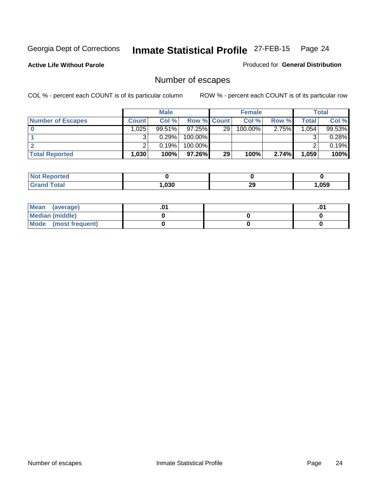**Active Life Without Parole** 

Produced for **General Distribution**

## Number of escapes

|                          |                   | <b>Male</b> |                    |      | <b>Female</b> |          |        | <b>Total</b> |
|--------------------------|-------------------|-------------|--------------------|------|---------------|----------|--------|--------------|
| <b>Number of Escapes</b> | Count l           | Col%        | <b>Row % Count</b> |      | Col %         | Row %    | Total  | Col %        |
|                          | 025               | $99.51\%$   | $97.25\%$          | ا 29 | $100.00\%$    | $2.75\%$ | 1.0541 | 99.53%       |
|                          |                   | 0.29%       | $100.00\%$         |      |               |          |        | 0.28%        |
|                          |                   | 0.19%       | $100.00\%$         |      |               |          |        | 0.19%        |
| <b>Total Reported</b>    | .030 <sup>1</sup> | 100%        | 97.26%I            | 29   | 100%          | 2.74%    | 1,059  | 100%         |

| NG<br>neo        |      |         |      |
|------------------|------|---------|------|
| $\mathbf{v}$ and | .030 | ົ<br>∠ง | .059 |

| Mean<br>(average)    |  | .01 |
|----------------------|--|-----|
| Median (middle)      |  |     |
| Mode (most frequent) |  |     |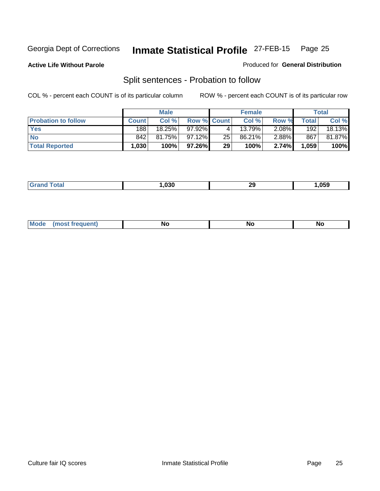**Active Life Without Parole** 

#### Produced for **General Distribution**

## Split sentences - Probation to follow

|                            |         | <b>Male</b> |             |    | <b>Female</b> |          |       | <b>Total</b> |
|----------------------------|---------|-------------|-------------|----|---------------|----------|-------|--------------|
| <b>Probation to follow</b> | Count l | Col %       | Row % Count |    | Col %         | Row %    | Total | Col %        |
| <b>Yes</b>                 | 188     | $18.25\%$   | 97.92%      | 4  | $13.79\%$     | $2.08\%$ | 192   | 18.13%       |
| <b>No</b>                  | 842     | 81.75%      | 97.12%      | 25 | 86.21%        | $2.88\%$ | 867   | 81.87%       |
| <b>Total Reported</b>      | 1,030   | 100%        | 97.26%      | 29 | 100%          | 2.74%    | 1,059 | 100%         |

| _______ | nor. | 29<br>$\sim$ | $-$<br>ארוו<br>- - - |
|---------|------|--------------|----------------------|
|         |      |              |                      |

| <b>Mo</b><br>. <b>.</b> .<br>N1<br><b>NO</b><br>11 V<br>$\cdot$ . $\cdot$ |  |  |  |  |  |
|---------------------------------------------------------------------------|--|--|--|--|--|
|---------------------------------------------------------------------------|--|--|--|--|--|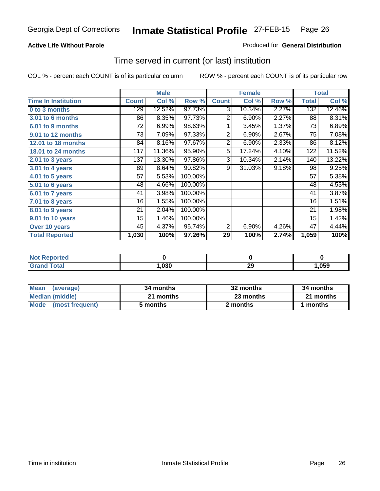#### **Active Life Without Parole**

#### Produced for **General Distribution**

### Time served in current (or last) institution

|                            |              | <b>Male</b> |         |                | <b>Female</b> |       |              | <b>Total</b> |
|----------------------------|--------------|-------------|---------|----------------|---------------|-------|--------------|--------------|
| <b>Time In Institution</b> | <b>Count</b> | Col %       | Row %   | <b>Count</b>   | Col %         | Row % | <b>Total</b> | Col %        |
| 0 to 3 months              | 129          | 12.52%      | 97.73%  | 3              | 10.34%        | 2.27% | 132          | 12.46%       |
| <b>3.01 to 6 months</b>    | 86           | 8.35%       | 97.73%  | $\overline{2}$ | 6.90%         | 2.27% | 88           | 8.31%        |
| 6.01 to 9 months           | 72           | 6.99%       | 98.63%  | 1              | 3.45%         | 1.37% | 73           | 6.89%        |
| 9.01 to 12 months          | 73           | 7.09%       | 97.33%  | $\overline{2}$ | 6.90%         | 2.67% | 75           | 7.08%        |
| <b>12.01 to 18 months</b>  | 84           | 8.16%       | 97.67%  | $\overline{2}$ | 6.90%         | 2.33% | 86           | 8.12%        |
| 18.01 to 24 months         | 117          | 11.36%      | 95.90%  | 5              | 17.24%        | 4.10% | 122          | 11.52%       |
| 2.01 to 3 years            | 137          | 13.30%      | 97.86%  | 3              | 10.34%        | 2.14% | 140          | 13.22%       |
| $3.01$ to 4 years          | 89           | 8.64%       | 90.82%  | 9              | 31.03%        | 9.18% | 98           | 9.25%        |
| 4.01 to 5 years            | 57           | 5.53%       | 100.00% |                |               |       | 57           | 5.38%        |
| 5.01 to 6 years            | 48           | 4.66%       | 100.00% |                |               |       | 48           | 4.53%        |
| 6.01 to 7 years            | 41           | 3.98%       | 100.00% |                |               |       | 41           | 3.87%        |
| 7.01 to 8 years            | 16           | 1.55%       | 100.00% |                |               |       | 16           | 1.51%        |
| 8.01 to 9 years            | 21           | 2.04%       | 100.00% |                |               |       | 21           | 1.98%        |
| 9.01 to 10 years           | 15           | 1.46%       | 100.00% |                |               |       | 15           | 1.42%        |
| Over 10 years              | 45           | 4.37%       | 95.74%  | $\overline{2}$ | 6.90%         | 4.26% | 47           | 4.44%        |
| <b>Total Reported</b>      | 1,030        | 100%        | 97.26%  | 29             | 100%          | 2.74% | 1,059        | 100%         |

| NotR<br><b>Reported</b> |     |    |      |
|-------------------------|-----|----|------|
| <b>Total</b>            | 000 | ∠খ | ,059 |

| <b>Mean</b><br>(average)       | 34 months | 32 months | 34 months |  |
|--------------------------------|-----------|-----------|-----------|--|
| Median (middle)                | 21 months | 23 months | 21 months |  |
| <b>Mode</b><br>(most frequent) | 5 months  | 2 months  | months    |  |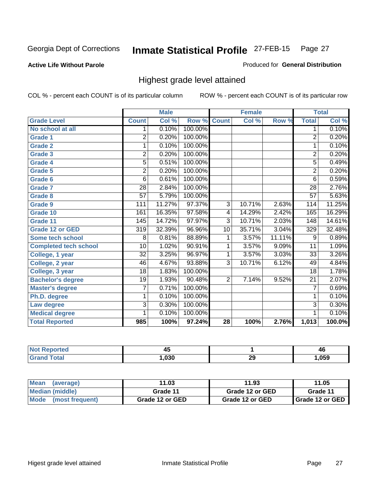#### **Active Life Without Parole**

#### Produced for **General Distribution**

### Highest grade level attained

|                              |                  | <b>Male</b> |         |                | <b>Female</b> |        |                 | <b>Total</b> |
|------------------------------|------------------|-------------|---------|----------------|---------------|--------|-----------------|--------------|
| <b>Grade Level</b>           | <b>Count</b>     | Col %       | Row %   | <b>Count</b>   | Col %         | Row %  | <b>Total</b>    | Col %        |
| No school at all             | 1.               | 0.10%       | 100.00% |                |               |        | 1               | 0.10%        |
| <b>Grade 1</b>               | $\overline{2}$   | 0.20%       | 100.00% |                |               |        | $\overline{2}$  | 0.20%        |
| <b>Grade 2</b>               | 1                | 0.10%       | 100.00% |                |               |        | $\overline{1}$  | 0.10%        |
| <b>Grade 3</b>               | $\overline{2}$   | 0.20%       | 100.00% |                |               |        | $\overline{2}$  | 0.20%        |
| Grade 4                      | 5                | 0.51%       | 100.00% |                |               |        | $\overline{5}$  | 0.49%        |
| Grade 5                      | $\overline{2}$   | 0.20%       | 100.00% |                |               |        | $\overline{2}$  | 0.20%        |
| Grade 6                      | 6                | 0.61%       | 100.00% |                |               |        | 6               | 0.59%        |
| <b>Grade 7</b>               | $\overline{28}$  | 2.84%       | 100.00% |                |               |        | $\overline{28}$ | 2.76%        |
| <b>Grade 8</b>               | $\overline{57}$  | 5.79%       | 100.00% |                |               |        | $\overline{57}$ | 5.63%        |
| <b>Grade 9</b>               | 111              | 11.27%      | 97.37%  | $\overline{3}$ | 10.71%        | 2.63%  | 114             | 11.25%       |
| Grade 10                     | 161              | 16.35%      | 97.58%  | 4              | 14.29%        | 2.42%  | 165             | 16.29%       |
| Grade 11                     | 145              | 14.72%      | 97.97%  | $\overline{3}$ | 10.71%        | 2.03%  | 148             | 14.61%       |
| <b>Grade 12 or GED</b>       | $\overline{319}$ | 32.39%      | 96.96%  | 10             | 35.71%        | 3.04%  | 329             | 32.48%       |
| Some tech school             | 8                | 0.81%       | 88.89%  | 1              | 3.57%         | 11.11% | 9               | 0.89%        |
| <b>Completed tech school</b> | $\overline{10}$  | 1.02%       | 90.91%  | 1              | 3.57%         | 9.09%  | $\overline{11}$ | 1.09%        |
| College, 1 year              | $\overline{32}$  | 3.25%       | 96.97%  | 1              | 3.57%         | 3.03%  | 33              | 3.26%        |
| College, 2 year              | 46               | 4.67%       | 93.88%  | $\overline{3}$ | 10.71%        | 6.12%  | 49              | 4.84%        |
| College, 3 year              | $\overline{18}$  | 1.83%       | 100.00% |                |               |        | 18              | 1.78%        |
| <b>Bachelor's degree</b>     | 19               | 1.93%       | 90.48%  | $\overline{2}$ | 7.14%         | 9.52%  | $\overline{21}$ | 2.07%        |
| <b>Master's degree</b>       | $\overline{7}$   | 0.71%       | 100.00% |                |               |        | $\overline{7}$  | 0.69%        |
| Ph.D. degree                 | 1                | 0.10%       | 100.00% |                |               |        | 1               | 0.10%        |
| Law degree                   | 3                | 0.30%       | 100.00% |                |               |        | $\overline{3}$  | 0.30%        |
| <b>Medical degree</b>        | 1                | 0.10%       | 100.00% |                |               |        | 1               | 0.10%        |
| <b>Total Reported</b>        | 985              | 100%        | 97.24%  | 28             | 100%          | 2.76%  | 1,013           | 100.0%       |

| vneu.  | - -<br>. .<br>≁ |    | 46   |
|--------|-----------------|----|------|
| ______ | .030            | 29 | ,059 |

| <b>Mean</b><br>(average) | 11.03           | 11.93           | 11.05             |
|--------------------------|-----------------|-----------------|-------------------|
| Median (middle)          | Grade 11        | Grade 12 or GED | Grade 11          |
| Mode (most frequent)     | Grade 12 or GED | Grade 12 or GED | I Grade 12 or GED |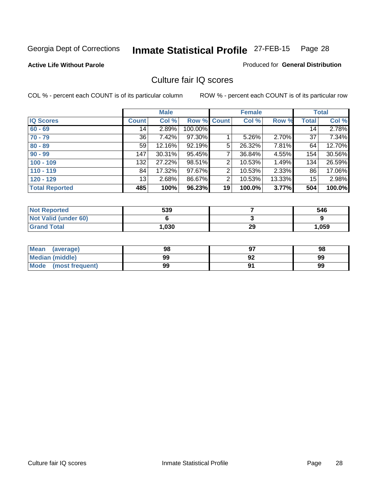#### **Active Life Without Parole**

#### Produced for **General Distribution**

### Culture fair IQ scores

|                       |         | <b>Male</b> |         |                | <b>Female</b> |          |              | <b>Total</b> |
|-----------------------|---------|-------------|---------|----------------|---------------|----------|--------------|--------------|
| <b>IQ Scores</b>      | Count l | Col %       | Row %   | <b>Count</b>   | Col %         | Row %    | <b>Total</b> | Col %        |
| $60 - 69$             | 14      | 2.89%       | 100.00% |                |               |          | 14           | 2.78%        |
| $70 - 79$             | 36      | 7.42%       | 97.30%  |                | 5.26%         | 2.70%    | 37           | 7.34%        |
| $80 - 89$             | 59      | $12.16\%$   | 92.19%  | 5              | 26.32%        | 7.81%    | 64           | 12.70%       |
| $90 - 99$             | 147     | 30.31%      | 95.45%  | $\overline{7}$ | 36.84%        | 4.55%    | 154          | 30.56%       |
| $100 - 109$           | 132     | 27.22%      | 98.51%  | $\overline{2}$ | 10.53%        | 1.49%    | 134          | 26.59%       |
| $110 - 119$           | 84      | 17.32%      | 97.67%  | 2              | 10.53%        | $2.33\%$ | 86           | 17.06%       |
| $120 - 129$           | 13      | 2.68%       | 86.67%  | 2              | 10.53%        | 13.33%   | 15           | 2.98%        |
| <b>Total Reported</b> | 485     | 100%        | 96.23%  | 19             | 100.0%        | 3.77%    | 504          | 100.0%       |

| <b>Not Reported</b>         | 539  |    | 546   |
|-----------------------------|------|----|-------|
| <b>Not Valid (under 60)</b> |      |    |       |
| <b>Grand Total</b>          | ,030 | 29 | 1,059 |

| <b>Mean</b><br>(average)       | 98 | 98 |
|--------------------------------|----|----|
| <b>Median (middle)</b>         | 99 | 99 |
| <b>Mode</b><br>(most frequent) | 99 | 99 |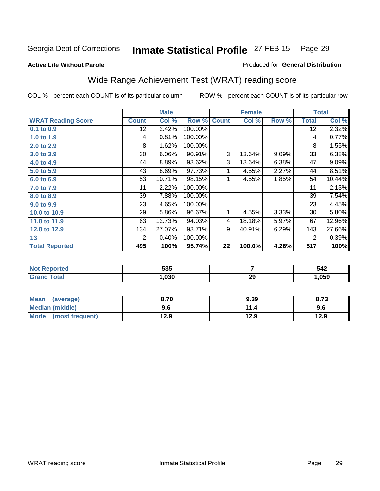#### **Active Life Without Parole**

### Produced for **General Distribution**

## Wide Range Achievement Test (WRAT) reading score

|                           |              | <b>Male</b> |         |              | <b>Female</b> |       |              | <b>Total</b> |
|---------------------------|--------------|-------------|---------|--------------|---------------|-------|--------------|--------------|
| <b>WRAT Reading Score</b> | <b>Count</b> | Col %       | Row %   | <b>Count</b> | Col %         | Row % | <b>Total</b> | Col %        |
| $0.1$ to $0.9$            | 12           | 2.42%       | 100.00% |              |               |       | 12           | 2.32%        |
| 1.0 to 1.9                | 4            | 0.81%       | 100.00% |              |               |       | 4            | 0.77%        |
| 2.0 to 2.9                | 8            | 1.62%       | 100.00% |              |               |       | 8            | 1.55%        |
| 3.0 to 3.9                | 30           | 6.06%       | 90.91%  | 3            | 13.64%        | 9.09% | 33           | 6.38%        |
| 4.0 to 4.9                | 44           | 8.89%       | 93.62%  | 3            | 13.64%        | 6.38% | 47           | 9.09%        |
| 5.0 to 5.9                | 43           | 8.69%       | 97.73%  | 1            | 4.55%         | 2.27% | 44           | 8.51%        |
| 6.0 to 6.9                | 53           | 10.71%      | 98.15%  | 1            | 4.55%         | 1.85% | 54           | 10.44%       |
| 7.0 to 7.9                | 11           | 2.22%       | 100.00% |              |               |       | 11           | 2.13%        |
| 8.0 to 8.9                | 39           | 7.88%       | 100.00% |              |               |       | 39           | 7.54%        |
| 9.0 to 9.9                | 23           | 4.65%       | 100.00% |              |               |       | 23           | 4.45%        |
| 10.0 to 10.9              | 29           | 5.86%       | 96.67%  | 1            | 4.55%         | 3.33% | 30           | 5.80%        |
| 11.0 to 11.9              | 63           | 12.73%      | 94.03%  | 4            | 18.18%        | 5.97% | 67           | 12.96%       |
| 12.0 to 12.9              | 134          | 27.07%      | 93.71%  | 9            | 40.91%        | 6.29% | 143          | 27.66%       |
| 13                        | 2            | 0.40%       | 100.00% |              |               |       | 2            | 0.39%        |
| <b>Total Reported</b>     | 495          | 100%        | 95.74%  | 22           | 100.0%        | 4.26% | 517          | 100%         |

| 535  |    | 542  |
|------|----|------|
| ,030 | 29 | .059 |

| Mean<br>(average)       | 8.70 | 9.39 | 8.73 |
|-------------------------|------|------|------|
| Median (middle)         | 9.6  |      | 9.6  |
| Mode<br>(most frequent) | 12.9 | 12.9 | 12.9 |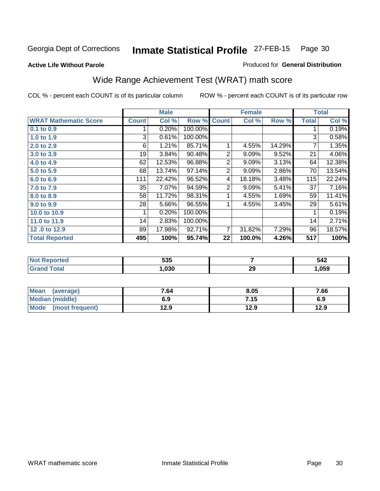**Active Life Without Parole** 

#### Produced for **General Distribution**

## Wide Range Achievement Test (WRAT) math score

|                              |              | <b>Male</b> |         |                | <b>Female</b> |        |              | <b>Total</b> |
|------------------------------|--------------|-------------|---------|----------------|---------------|--------|--------------|--------------|
| <b>WRAT Mathematic Score</b> | <b>Count</b> | Col %       | Row %   | <b>Count</b>   | Col %         | Row %  | <b>Total</b> | Col %        |
| 0.1 to 0.9                   |              | 0.20%       | 100.00% |                |               |        |              | 0.19%        |
| 1.0 to 1.9                   | 3            | 0.61%       | 100.00% |                |               |        | 3            | 0.58%        |
| 2.0 to 2.9                   | 6            | 1.21%       | 85.71%  | 1              | 4.55%         | 14.29% | 7            | 1.35%        |
| 3.0 to 3.9                   | 19           | 3.84%       | 90.48%  | 2              | 9.09%         | 9.52%  | 21           | 4.06%        |
| 4.0 to 4.9                   | 62           | 12.53%      | 96.88%  | $\overline{2}$ | 9.09%         | 3.13%  | 64           | 12.38%       |
| 5.0 to 5.9                   | 68           | 13.74%      | 97.14%  | $\overline{2}$ | 9.09%         | 2.86%  | 70           | 13.54%       |
| 6.0 to 6.9                   | 111          | 22.42%      | 96.52%  | 4              | 18.18%        | 3.48%  | 115          | 22.24%       |
| 7.0 to 7.9                   | 35           | 7.07%       | 94.59%  | 2              | 9.09%         | 5.41%  | 37           | 7.16%        |
| 8.0 to 8.9                   | 58           | 11.72%      | 98.31%  | 1              | 4.55%         | 1.69%  | 59           | 11.41%       |
| 9.0 to 9.9                   | 28           | 5.66%       | 96.55%  |                | 4.55%         | 3.45%  | 29           | 5.61%        |
| 10.0 to 10.9                 | 1            | 0.20%       | 100.00% |                |               |        | 1            | 0.19%        |
| 11.0 to 11.9                 | 14           | 2.83%       | 100.00% |                |               |        | 14           | 2.71%        |
| 12.0 to 12.9                 | 89           | 17.98%      | 92.71%  | 7              | 31.82%        | 7.29%  | 96           | 18.57%       |
| <b>Total Reported</b>        | 495          | 100%        | 95.74%  | 22             | 100.0%        | 4.26%  | 517          | 100%         |

| 535  |    | ヒィク<br>⊾+⊂<br>$\sim$ $\sim$ |
|------|----|-----------------------------|
| ,030 | 29 | .059                        |

| <b>Mean</b><br>(average)       | 7.64 | 8.05 | 7.66 |
|--------------------------------|------|------|------|
| <b>Median (middle)</b>         | 6.9  | 7.15 | 6.9  |
| <b>Mode</b><br>(most frequent) | 12.9 | 12.9 | 12.9 |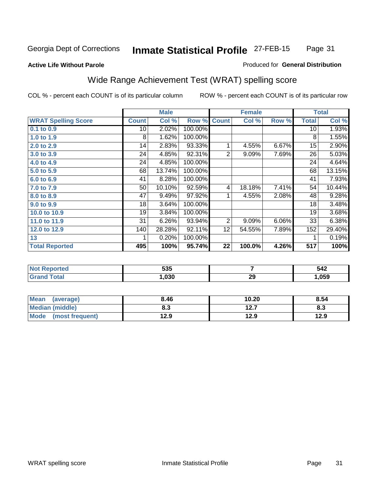#### **Active Life Without Parole**

#### Produced for **General Distribution**

## Wide Range Achievement Test (WRAT) spelling score

|                            |              | <b>Male</b> |         |                 | <b>Female</b> |       |              | <b>Total</b> |
|----------------------------|--------------|-------------|---------|-----------------|---------------|-------|--------------|--------------|
| <b>WRAT Spelling Score</b> | <b>Count</b> | Col %       | Row %   | <b>Count</b>    | Col %         | Row % | <b>Total</b> | Col %        |
| $0.1$ to $0.9$             | 10           | 2.02%       | 100.00% |                 |               |       | 10           | 1.93%        |
| 1.0 to 1.9                 | 8            | 1.62%       | 100.00% |                 |               |       | 8            | 1.55%        |
| 2.0 to 2.9                 | 14           | 2.83%       | 93.33%  | 1               | 4.55%         | 6.67% | 15           | 2.90%        |
| 3.0 to 3.9                 | 24           | 4.85%       | 92.31%  | $\overline{2}$  | 9.09%         | 7.69% | 26           | 5.03%        |
| 4.0 to 4.9                 | 24           | 4.85%       | 100.00% |                 |               |       | 24           | 4.64%        |
| 5.0 to 5.9                 | 68           | 13.74%      | 100.00% |                 |               |       | 68           | 13.15%       |
| 6.0 to 6.9                 | 41           | 8.28%       | 100.00% |                 |               |       | 41           | 7.93%        |
| 7.0 to 7.9                 | 50           | 10.10%      | 92.59%  | 4               | 18.18%        | 7.41% | 54           | 10.44%       |
| 8.0 to 8.9                 | 47           | 9.49%       | 97.92%  | 1               | 4.55%         | 2.08% | 48           | 9.28%        |
| 9.0 to 9.9                 | 18           | 3.64%       | 100.00% |                 |               |       | 18           | 3.48%        |
| 10.0 to 10.9               | 19           | 3.84%       | 100.00% |                 |               |       | 19           | 3.68%        |
| 11.0 to 11.9               | 31           | 6.26%       | 93.94%  | 2               | 9.09%         | 6.06% | 33           | 6.38%        |
| 12.0 to 12.9               | 140          | 28.28%      | 92.11%  | 12 <sub>2</sub> | 54.55%        | 7.89% | 152          | 29.40%       |
| 13                         |              | 0.20%       | 100.00% |                 |               |       |              | 0.19%        |
| <b>Total Reported</b>      | 495          | 100%        | 95.74%  | 22              | 100.0%        | 4.26% | 517          | 100%         |

| <b>Not Reported</b>    | 535  |    | 542    |
|------------------------|------|----|--------|
| Total<br><b>'Grand</b> | ,030 | 29 | 059, ا |

| <b>Mean</b><br>(average) | 8.46       | 10.20     | 8.54      |
|--------------------------|------------|-----------|-----------|
| <b>Median (middle)</b>   | פ ס<br>ი.ა | 1つ フ<br>. | о.<br>ი.ა |
| Mode<br>(most frequent)  | 12.9       | 12.9      | 12.9      |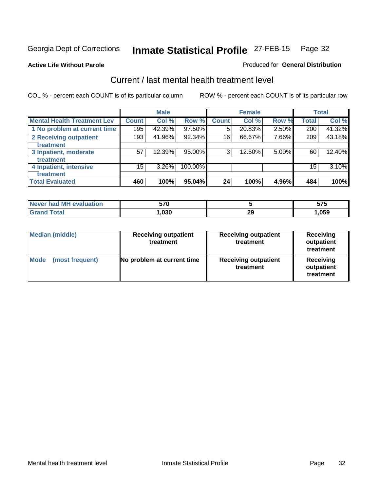#### **Active Life Without Parole**

### Produced for **General Distribution**

### Current / last mental health treatment level

|                                    |              | <b>Male</b> |         |              | <b>Female</b> |       |              | <b>Total</b> |
|------------------------------------|--------------|-------------|---------|--------------|---------------|-------|--------------|--------------|
| <b>Mental Health Treatment Lev</b> | <b>Count</b> | Col %       | Row %   | <b>Count</b> | Col %         | Row % | <b>Total</b> | Col %        |
| 1 No problem at current time       | 195          | 42.39%      | 97.50%  | 5            | 20.83%        | 2.50% | 200          | 41.32%       |
| 2 Receiving outpatient             | 193          | 41.96%      | 92.34%  | 16           | 66.67%        | 7.66% | 209          | 43.18%       |
| treatment                          |              |             |         |              |               |       |              |              |
| 3 Inpatient, moderate              | 57           | 12.39%      | 95.00%  | 3            | 12.50%        | 5.00% | 60           | 12.40%       |
| treatment                          |              |             |         |              |               |       |              |              |
| 4 Inpatient, intensive             | 15           | 3.26%       | 100.00% |              |               |       | 15           | 3.10%        |
| treatment                          |              |             |         |              |               |       |              |              |
| <b>Total Evaluated</b>             | 460          | 100%        | 95.04%  | 24           | 100%          | 4.96% | 484          | 100%         |

| Never had MH evaluation | 570  |          | ヒラヒ<br>JIJ |
|-------------------------|------|----------|------------|
| Total                   | ,030 | n,<br>29 | 59,ا       |

| <b>Median (middle)</b>         | <b>Receiving outpatient</b><br>treatment | <b>Receiving outpatient</b><br>treatment | <b>Receiving</b><br>outpatient<br>treatment |
|--------------------------------|------------------------------------------|------------------------------------------|---------------------------------------------|
| <b>Mode</b><br>(most frequent) | No problem at current time               | <b>Receiving outpatient</b><br>treatment | Receiving<br>outpatient<br>treatment        |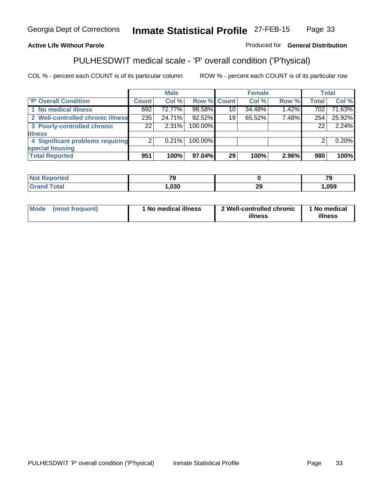### **Active Life Without Parole**

### Produced for **General Distribution**

## PULHESDWIT medical scale - 'P' overall condition ('P'hysical)

|                                   |              | <b>Male</b> |                    |    | <b>Female</b> |       |              | <b>Total</b> |
|-----------------------------------|--------------|-------------|--------------------|----|---------------|-------|--------------|--------------|
| 'P' Overall Condition             | <b>Count</b> | Col %       | <b>Row % Count</b> |    | Col %         | Row % | <b>Total</b> | Col %        |
| 1 No medical illness              | 692          | 72.77%      | 98.58%             | 10 | 34.48%        | 1.42% | 702          | 71.63%       |
| 2 Well-controlled chronic illness | 235          | 24.71%      | 92.52%             | 19 | 65.52%        | 7.48% | 254          | 25.92%       |
| 3 Poorly-controlled chronic       | 221          | $2.31\%$    | 100.00%            |    |               |       | 22           | 2.24%        |
| <b>illness</b>                    |              |             |                    |    |               |       |              |              |
| 4 Significant problems requiring  | 2            | $0.21\%$    | 100.00%            |    |               |       | 2            | 0.20%        |
| special housing                   |              |             |                    |    |               |       |              |              |
| <b>Total Reported</b>             | 951          | 100%        | 97.04%             | 29 | 100%          | 2.96% | 980          | 100%         |

| <b>Not Reported</b> | $\mathbf{z}$ |          | $\overline{\phantom{a}}$ |
|---------------------|--------------|----------|--------------------------|
| <b>Grand Total</b>  | ,030         | or<br>-- | ,059                     |

| Mode | (most frequent) | 1 No medical illness | 2 Well-controlled chronic<br>illness | 1 No medical<br>illness |
|------|-----------------|----------------------|--------------------------------------|-------------------------|
|------|-----------------|----------------------|--------------------------------------|-------------------------|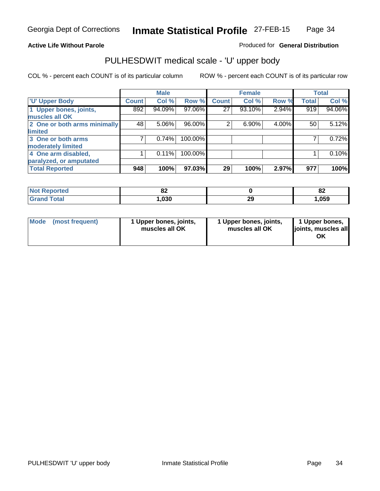### **Active Life Without Parole**

Produced for **General Distribution**

## PULHESDWIT medical scale - 'U' upper body

|                              |              | <b>Male</b> |         |              | <b>Female</b> |       |              | <b>Total</b> |
|------------------------------|--------------|-------------|---------|--------------|---------------|-------|--------------|--------------|
| <b>U' Upper Body</b>         | <b>Count</b> | Col %       | Row %   | <b>Count</b> | Col %         | Row % | <b>Total</b> | Col %        |
| 1 Upper bones, joints,       | 892          | 94.09%      | 97.06%  | 27           | 93.10%        | 2.94% | 919          | 94.06%       |
| muscles all OK               |              |             |         |              |               |       |              |              |
| 2 One or both arms minimally | 48           | 5.06%       | 96.00%  | 2            | 6.90%         | 4.00% | 50           | 5.12%        |
| limited                      |              |             |         |              |               |       |              |              |
| 3 One or both arms           |              | 0.74%       | 100.00% |              |               |       |              | 0.72%        |
| moderately limited           |              |             |         |              |               |       |              |              |
| 4 One arm disabled,          |              | 0.11%       | 100.00% |              |               |       |              | 0.10%        |
| paralyzed, or amputated      |              |             |         |              |               |       |              |              |
| <b>Total Reported</b>        | 948          | 100%        | 97.03%  | 29           | 100%          | 2.97% | 977          | 100%         |

| <b>Not Reported</b> | ОZ   |    | $\mathbf{C}$<br>OZ. |
|---------------------|------|----|---------------------|
| <b>Total</b>        | ,030 | 29 | ,059                |

|  | Mode (most frequent) | 1 Upper bones, joints,<br>muscles all OK | 1 Upper bones, joints,<br>muscles all OK | 1 Upper bones,<br>joints, muscles all<br>ΟK |
|--|----------------------|------------------------------------------|------------------------------------------|---------------------------------------------|
|--|----------------------|------------------------------------------|------------------------------------------|---------------------------------------------|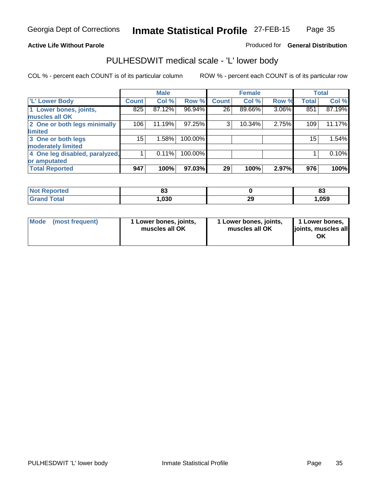#### **Active Life Without Parole**

#### Produced for **General Distribution**

### PULHESDWIT medical scale - 'L' lower body

|                                |              | <b>Male</b> |         |              | <b>Female</b> |       |              | <b>Total</b> |
|--------------------------------|--------------|-------------|---------|--------------|---------------|-------|--------------|--------------|
| 'L' Lower Body                 | <b>Count</b> | Col %       | Row %   | <b>Count</b> | Col %         | Row % | <b>Total</b> | Col %        |
| 1 Lower bones, joints,         | 825          | 87.12%      | 96.94%  | 26           | 89.66%        | 3.06% | 851          | 87.19%       |
| muscles all OK                 |              |             |         |              |               |       |              |              |
| 2 One or both legs minimally   | 106          | 11.19%      | 97.25%  | 3            | 10.34%        | 2.75% | 109          | 11.17%       |
| limited                        |              |             |         |              |               |       |              |              |
| 3 One or both legs             | 15           | 1.58%       | 100.00% |              |               |       | 15           | 1.54%        |
| moderately limited             |              |             |         |              |               |       |              |              |
| 4 One leg disabled, paralyzed, |              | 0.11%       | 100.00% |              |               |       |              | 0.10%        |
| or amputated                   |              |             |         |              |               |       |              |              |
| <b>Total Reported</b>          | 947          | 100%        | 97.03%  | 29           | 100%          | 2.97% | 976          | 100%         |

| <b>norted</b><br>NG | uu   |           | n.<br>oJ |
|---------------------|------|-----------|----------|
| <b>Total</b>        | ,030 | nr.<br>23 | ,059     |

|  | Mode (most frequent) | 1 Lower bones, joints,<br>muscles all OK | 1 Lower bones, joints,<br>muscles all OK | 1 Lower bones,<br>joints, muscles all<br>OK |
|--|----------------------|------------------------------------------|------------------------------------------|---------------------------------------------|
|--|----------------------|------------------------------------------|------------------------------------------|---------------------------------------------|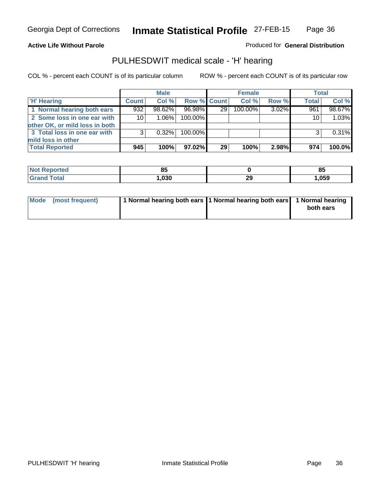**Active Life Without Parole** 

Produced for **General Distribution**

### PULHESDWIT medical scale - 'H' hearing

|                                |              | <b>Male</b> |             |                 | <b>Female</b> |       | <b>Total</b> |        |
|--------------------------------|--------------|-------------|-------------|-----------------|---------------|-------|--------------|--------|
| <b>H'</b> Hearing              | <b>Count</b> | Col %       | Row % Count |                 | Col %         | Row % | Total        | Col %  |
| 1 Normal hearing both ears     | 932          | 98.62%      | 96.98%      | 29              | 100.00%       | 3.02% | 961          | 98.67% |
| 2 Some loss in one ear with    | 10           | $1.06\%$    | 100.00%     |                 |               |       | 10           | 1.03%  |
| other OK, or mild loss in both |              |             |             |                 |               |       |              |        |
| 3 Total loss in one ear with   | 3            | 0.32%       | 100.00%     |                 |               |       |              | 0.31%  |
| mild loss in other             |              |             |             |                 |               |       |              |        |
| <b>Total Reported</b>          | 945          | 100%        | 97.02%      | 29 <sub>1</sub> | 100%          | 2.98% | 974          | 100.0% |

| <b>Not</b>   | nЕ     |             | $\mathbf{or}$ |
|--------------|--------|-------------|---------------|
| oorted       | uu     |             | οIJ           |
| <b>Total</b> | $\sim$ | ົດຕ<br>- 20 | ,059          |

| Mode (most frequent) | 1 Normal hearing both ears 1 Normal hearing both ears 1 Normal hearing | both ears |
|----------------------|------------------------------------------------------------------------|-----------|
|                      |                                                                        |           |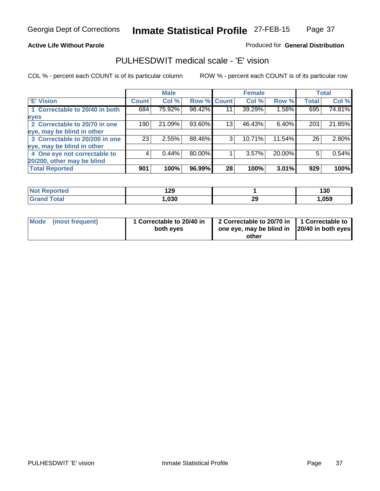#### **Active Life Without Parole**

#### Produced for **General Distribution**

### PULHESDWIT medical scale - 'E' vision

|                                |                    | <b>Male</b> |                    |    | <b>Female</b> |        |              | <b>Total</b> |
|--------------------------------|--------------------|-------------|--------------------|----|---------------|--------|--------------|--------------|
| 'E' Vision                     | Count <sup>'</sup> | Col %       | <b>Row % Count</b> |    | Col %         | Row %  | <b>Total</b> | Col %        |
| 1 Correctable to 20/40 in both | 684                | 75.92%      | 98.42%             | 11 | 39.29%        | 1.58%  | 695          | 74.81%       |
| eyes                           |                    |             |                    |    |               |        |              |              |
| 2 Correctable to 20/70 in one  | 190                | 21.09%      | 93.60%             | 13 | 46.43%        | 6.40%  | 203          | 21.85%       |
| eye, may be blind in other     |                    |             |                    |    |               |        |              |              |
| 3 Correctable to 20/200 in one | 23                 | 2.55%       | 88.46%             | 3  | 10.71%        | 11.54% | 26           | $2.80\%$     |
| eye, may be blind in other     |                    |             |                    |    |               |        |              |              |
| 4 One eye not correctable to   | 4                  | 0.44%       | 80.00%             |    | 3.57%         | 20.00% | 5            | 0.54%        |
| 20/200, other may be blind     |                    |             |                    |    |               |        |              |              |
| <b>Total Reported</b>          | 901                | 100%        | 96.99%             | 28 | 100%          | 3.01%  | 929          | 100%         |

| <b>Not Reported</b>  | 1 20<br>1 L J |           | 130  |
|----------------------|---------------|-----------|------|
| <b>Total</b><br>Gran | ,030          | nr.<br>25 | ,059 |

| Mode (most frequent) | 1 Correctable to 20/40 in<br>both eyes | 2 Correctable to 20/70 in   1 Correctable to<br>one eye, may be blind in  20/40 in both eyes |  |
|----------------------|----------------------------------------|----------------------------------------------------------------------------------------------|--|
|                      |                                        | other                                                                                        |  |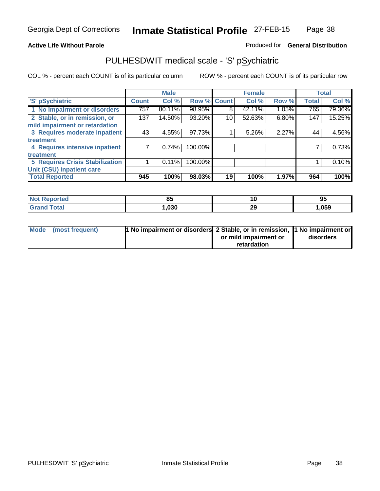### **Active Life Without Parole**

### Produced for **General Distribution**

### PULHESDWIT medical scale - 'S' pSychiatric

|                                        |              | <b>Male</b> |             |    | <b>Female</b> |       |              | <b>Total</b> |
|----------------------------------------|--------------|-------------|-------------|----|---------------|-------|--------------|--------------|
| 'S' pSychiatric                        | <b>Count</b> | Col %       | Row % Count |    | Col %         | Row % | <b>Total</b> | Col %        |
| 1 No impairment or disorders           | 757          | 80.11%      | 98.95%      | 8  | 42.11%        | 1.05% | 765          | 79.36%       |
| 2 Stable, or in remission, or          | 137          | 14.50%      | 93.20%      | 10 | 52.63%        | 6.80% | 147          | 15.25%       |
| mild impairment or retardation         |              |             |             |    |               |       |              |              |
| 3 Requires moderate inpatient          | 43           | 4.55%       | 97.73%      |    | $5.26\%$      | 2.27% | 44           | 4.56%        |
| <b>treatment</b>                       |              |             |             |    |               |       |              |              |
| 4 Requires intensive inpatient         |              | 0.74%       | 100.00%     |    |               |       |              | 0.73%        |
| treatment                              |              |             |             |    |               |       |              |              |
| <b>5 Requires Crisis Stabilization</b> |              | 0.11%       | 100.00%     |    |               |       |              | 0.10%        |
| Unit (CSU) inpatient care              |              |             |             |    |               |       |              |              |
| <b>Total Reported</b>                  | 945          | 100%        | 98.03%      | 19 | 100%          | 1.97% | 964          | 100%         |

| 0E<br>uj<br>$ -$ | $-$ | 95   |
|------------------|-----|------|
| .030             | 29  | ,059 |

| Mode (most frequent) | 1 No impairment or disorders 2 Stable, or in remission, 1 No impairment or |                       |           |
|----------------------|----------------------------------------------------------------------------|-----------------------|-----------|
|                      |                                                                            | or mild impairment or | disorders |
|                      |                                                                            | retardation           |           |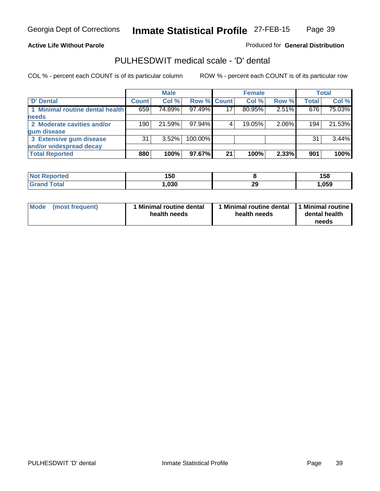#### **Active Life Without Parole**

Produced for **General Distribution**

### PULHESDWIT medical scale - 'D' dental

|                                 |       | <b>Male</b> |             |    | <b>Female</b> |       |              | <b>Total</b> |
|---------------------------------|-------|-------------|-------------|----|---------------|-------|--------------|--------------|
| <b>D'</b> Dental                | Count | Col %       | Row % Count |    | Col %         | Row % | <b>Total</b> | Col %        |
| 1 Minimal routine dental health | 659   | 74.89%      | 97.49%      | 17 | 80.95%        | 2.51% | 676          | 75.03%       |
| <b>needs</b>                    |       |             |             |    |               |       |              |              |
| 2 Moderate cavities and/or      | 190   | 21.59%      | $97.94\%$   |    | 19.05%        | 2.06% | 194          | 21.53%       |
| gum disease                     |       |             |             |    |               |       |              |              |
| 3 Extensive gum disease         | 31    | $3.52\%$    | 100.00%     |    |               |       | 31           | $3.44\%$     |
| and/or widespread decay         |       |             |             |    |               |       |              |              |
| <b>Total Reported</b>           | 880   | 100%        | 97.67%      | 21 | 100%          | 2.33% | 901          | 100%         |

| 150  |          | 158  |
|------|----------|------|
| .030 | ^^<br>23 | .059 |

| Mode (most frequent) | <b>Minimal routine dental</b><br>health needs | I Minimal routine dental<br>health needs | 1 Minimal routine  <br>dental health<br>needs |
|----------------------|-----------------------------------------------|------------------------------------------|-----------------------------------------------|
|----------------------|-----------------------------------------------|------------------------------------------|-----------------------------------------------|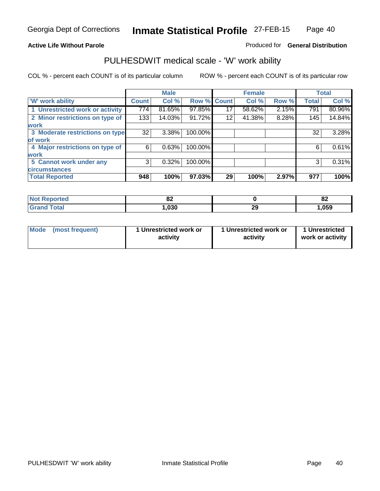### **Active Life Without Parole**

### Produced for **General Distribution**

### PULHESDWIT medical scale - 'W' work ability

|                                 |              | <b>Male</b> |             |    | <b>Female</b> |       |              | <b>Total</b> |
|---------------------------------|--------------|-------------|-------------|----|---------------|-------|--------------|--------------|
| <b>W' work ability</b>          | <b>Count</b> | Col %       | Row % Count |    | Col %         | Row % | <b>Total</b> | Col %        |
| 1 Unrestricted work or activity | 774          | 81.65%      | 97.85%      | 17 | 58.62%        | 2.15% | 791          | 80.96%       |
| 2 Minor restrictions on type of | 133          | 14.03%      | 91.72%      | 12 | 41.38%        | 8.28% | 145          | 14.84%       |
| <b>work</b>                     |              |             |             |    |               |       |              |              |
| 3 Moderate restrictions on type | 32           | $3.38\%$    | 100.00%     |    |               |       | 32           | 3.28%        |
| of work                         |              |             |             |    |               |       |              |              |
| 4 Major restrictions on type of | 6            | 0.63%       | 100.00%     |    |               |       | 6            | 0.61%        |
| <b>work</b>                     |              |             |             |    |               |       |              |              |
| 5 Cannot work under any         | 3            | 0.32%       | 100.00%     |    |               |       | 3            | 0.31%        |
| <b>circumstances</b>            |              |             |             |    |               |       |              |              |
| <b>Total Reported</b>           | 948          | 100%        | 97.03%      | 29 | 100%          | 2.97% | 977          | 100%         |

| orted                 | n,<br>OZ. |           | $\mathbf{C}$<br>ΟZ |
|-----------------------|-----------|-----------|--------------------|
| $T \wedge f \wedge f$ | ,030      | ne.<br>∠ง | 059, ا             |

| Mode | (most frequent) | 1 Unrestricted work or<br>activity | 1 Unrestricted work or<br>activity | 1 Unrestricted<br>work or activity |
|------|-----------------|------------------------------------|------------------------------------|------------------------------------|
|------|-----------------|------------------------------------|------------------------------------|------------------------------------|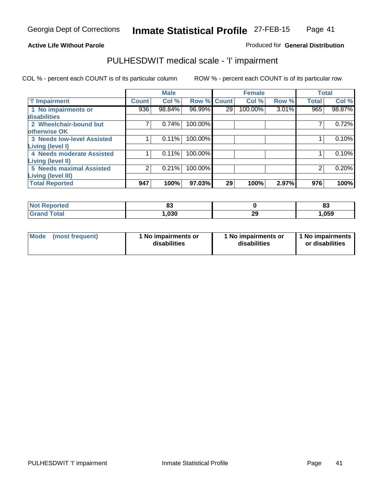#### **Active Life Without Parole**

#### Produced for **General Distribution**

### PULHESDWIT medical scale - 'I' impairment

|                                   |              | <b>Male</b> |             |                 | <b>Female</b> |          | <b>Total</b> |        |
|-----------------------------------|--------------|-------------|-------------|-----------------|---------------|----------|--------------|--------|
| <b>T' Impairment</b>              | <b>Count</b> | Col %       | Row % Count |                 | Col %         | Row %    | <b>Total</b> | Col %  |
| 1 No impairments or               | 936          | 98.84%      | 96.99%      | 29 <sub>1</sub> | 100.00%       | $3.01\%$ | 965          | 98.87% |
| disabilities                      |              |             |             |                 |               |          |              |        |
| 2 Wheelchair-bound but            |              | 0.74%       | 100.00%     |                 |               |          |              | 0.72%  |
| otherwise OK                      |              |             |             |                 |               |          |              |        |
| <b>3 Needs low-level Assisted</b> |              | 0.11%       | 100.00%     |                 |               |          |              | 0.10%  |
| Living (level I)                  |              |             |             |                 |               |          |              |        |
| 4 Needs moderate Assisted         |              | 0.11%       | 100.00%     |                 |               |          |              | 0.10%  |
| <b>Living (level II)</b>          |              |             |             |                 |               |          |              |        |
| <b>5 Needs maximal Assisted</b>   | 2            | 0.21%       | 100.00%     |                 |               |          | 2            | 0.20%  |
| <b>Living (level III)</b>         |              |             |             |                 |               |          |              |        |
| <b>Total Reported</b>             | 947          | 100%        | 97.03%      | 29              | 100%          | 2.97%    | 976          | 100%   |

| тес  | o.<br>စခ |                  | 00<br>ია |
|------|----------|------------------|----------|
| ota. | ,030     | $ -$<br>הה<br>23 | ,059     |

| Mode | (most frequent) | 1 No impairments or<br>disabilities | 1 No impairments or<br>disabilities | 1 1 No impairments<br>or disabilities |
|------|-----------------|-------------------------------------|-------------------------------------|---------------------------------------|
|------|-----------------|-------------------------------------|-------------------------------------|---------------------------------------|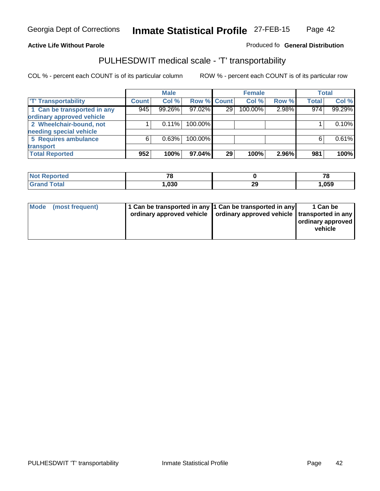#### **Inmate Statistical Profile** 27-FEB-15 Page Page 42

### **Active Life Without Parole Produced fo Seneral Distribution**

### PULHESDWIT medical scale - 'T' transportability

|                             |              | <b>Male</b> |             |                 | <b>Female</b> |          |              | <b>Total</b> |
|-----------------------------|--------------|-------------|-------------|-----------------|---------------|----------|--------------|--------------|
| <b>T' Transportability</b>  | <b>Count</b> | Col %       | Row % Count |                 | Col %         | Row %    | <b>Total</b> | Col %        |
| 1 Can be transported in any | 945          | 99.26%      | 97.02%      | 29 <sub>1</sub> | 100.00%       | 2.98%    | 974          | 99.29%       |
| ordinary approved vehicle   |              |             |             |                 |               |          |              |              |
| 2 Wheelchair-bound, not     |              | 0.11%       | 100.00%     |                 |               |          |              | 0.10%        |
| needing special vehicle     |              |             |             |                 |               |          |              |              |
| 5 Requires ambulance        | 6            | 0.63%       | 100.00%     |                 |               |          | 6            | 0.61%        |
| transport                   |              |             |             |                 |               |          |              |              |
| <b>Total Reported</b>       | 952          | 100%        | 97.04%      | 29              | 100%          | $2.96\%$ | 981          | 100%         |

| <b>Not</b><br>Reported | - -<br>- 5 |         | 70   |
|------------------------|------------|---------|------|
| <b>otal</b>            | ,030       | ኅ<br>23 | .059 |

| 1 Can be transported in any 1 Can be transported in any                    | 1 Can be          |
|----------------------------------------------------------------------------|-------------------|
| Mode (most frequent)                                                       | ordinary approved |
| ordinary approved vehicle   ordinary approved vehicle   transported in any | vehicle           |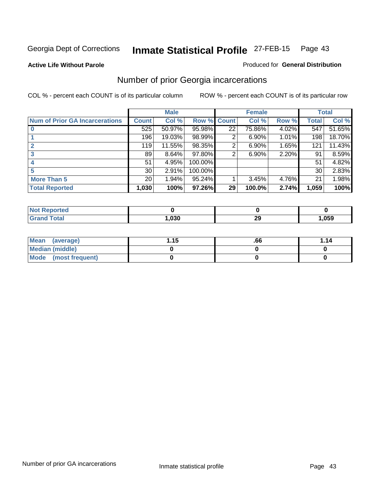#### **Active Life Without Parole**

#### Produced for **General Distribution**

### Number of prior Georgia incarcerations

|                                       |                 | <b>Male</b> |         |              | <b>Female</b> |       |       | <b>Total</b> |
|---------------------------------------|-----------------|-------------|---------|--------------|---------------|-------|-------|--------------|
| <b>Num of Prior GA Incarcerations</b> | <b>Count</b>    | Col %       | Row %   | <b>Count</b> | Col %         | Row % | Total | Col %        |
|                                       | 525             | 50.97%      | 95.98%  | 22           | 75.86%        | 4.02% | 547   | 51.65%       |
|                                       | 196             | 19.03%      | 98.99%  | 2            | 6.90%         | 1.01% | 198   | 18.70%       |
|                                       | 119             | 11.55%      | 98.35%  | 2            | 6.90%         | 1.65% | 121   | 11.43%       |
| 3                                     | 89              | 8.64%       | 97.80%  | 2            | 6.90%         | 2.20% | 91    | 8.59%        |
|                                       | 51              | 4.95%       | 100.00% |              |               |       | 51    | 4.82%        |
| 5                                     | 30 <sup>1</sup> | 2.91%       | 100.00% |              |               |       | 30    | 2.83%        |
| <b>More Than 5</b>                    | 20 <sub>1</sub> | 1.94%       | 95.24%  |              | 3.45%         | 4.76% | 21    | 1.98%        |
| <b>Total Reported</b>                 | 1,030           | 100%        | 97.26%  | 29           | 100.0%        | 2.74% | 1,059 | 100%         |

| วrted<br>-NA |        |          |      |
|--------------|--------|----------|------|
| <b>otal</b>  | $\sim$ | 20<br>~~ | .059 |

| Mean (average)       | 1.15 | .66 | 1.14 |
|----------------------|------|-----|------|
| Median (middle)      |      |     |      |
| Mode (most frequent) |      |     |      |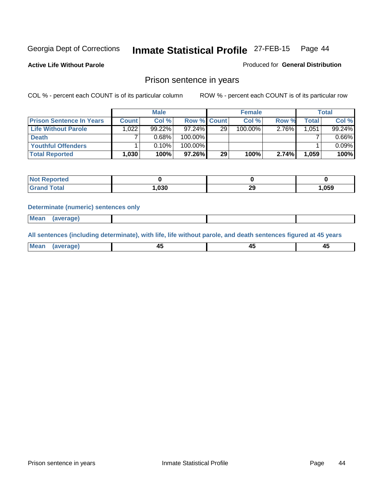**Active Life Without Parole** 

Produced for **General Distribution**

### Prison sentence in years

COL % - percent each COUNT is of its particular column ROW % - percent each COUNT is of its particular row

|                                 |              | <b>Male</b> |                    |    | <b>Female</b> |          |              | <b>Total</b> |
|---------------------------------|--------------|-------------|--------------------|----|---------------|----------|--------------|--------------|
| <b>Prison Sentence In Years</b> | <b>Count</b> | Col %       | <b>Row % Count</b> |    | Col %         | Row %    | <b>Total</b> | Col %        |
| Life Without Parole             | .022         | 99.22%      | $97.24\%$          | 29 | 100.00%       | $2.76\%$ | 1,051        | 99.24%       |
| <b>Death</b>                    |              | 0.68%       | 100.00%            |    |               |          |              | $0.66\%$     |
| <b>Youthful Offenders</b>       |              | 0.10%       | 100.00%            |    |               |          |              | 0.09%        |
| <b>Total Reported</b>           | 1,030        | 100%        | 97.26%             | 29 | 100%          | 2.74%    | 1,059        | 100%         |

| ported      |      |           |      |
|-------------|------|-----------|------|
| <b>otal</b> | ,030 | 20<br>-43 | .059 |

#### **Determinate (numeric) sentences only**

 **Mean (average)**

**All sentences (including determinate), with life, life without parole, and death sentences figured at 45 years**

| Me<br>ாு<br>$\mathbf{v}$ | $\sim$ | $\sim$ |  |
|--------------------------|--------|--------|--|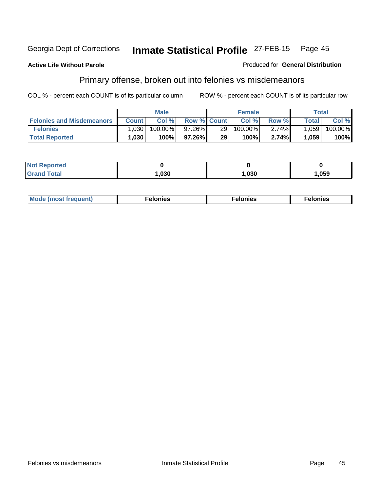#### **Active Life Without Parole**

#### Produced for **General Distribution**

## Primary offense, broken out into felonies vs misdemeanors

|                                  |              | <b>Male</b> |                    |                 | <b>Female</b> |          |              | Total   |
|----------------------------------|--------------|-------------|--------------------|-----------------|---------------|----------|--------------|---------|
| <b>Felonies and Misdemeanors</b> | <b>Count</b> | Col%        | <b>Row % Count</b> |                 | Col%          | Row %    | <b>Total</b> | Col %   |
| <b>Felonies</b>                  | ,030         | 100.00%     | 97.26%             | 29 <sub>1</sub> | $100.00\%$    | $2.74\%$ | .059         | 100.00% |
| <b>Total Reported</b>            | 1,030        | 100%        | $97.26\%$          | 29              | 100%          | 2.74%    | .059         | 100%    |

| <b>Not Reported</b> |      |      |      |
|---------------------|------|------|------|
| Gran                | ,030 | ,030 | ,059 |

| M<br>$\cdots$<br>пю.<br>. | nies<br>. | . |
|---------------------------|-----------|---|
|---------------------------|-----------|---|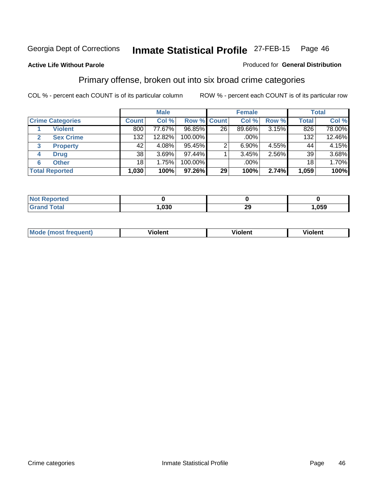#### **Active Life Without Parole**

#### Produced for **General Distribution**

### Primary offense, broken out into six broad crime categories

|                                 |              | <b>Male</b> |                    |    | <b>Female</b> |       |                 | <b>Total</b> |
|---------------------------------|--------------|-------------|--------------------|----|---------------|-------|-----------------|--------------|
| <b>Crime Categories</b>         | <b>Count</b> | Col %       | <b>Row % Count</b> |    | Col %         | Row % | <b>Total</b>    | Col %        |
| <b>Violent</b>                  | 800          | 77.67%      | 96.85%             | 26 | 89.66%        | 3.15% | 826             | 78.00%       |
| <b>Sex Crime</b><br>2           | 132          | 12.82%      | 100.00%            |    | .00%          |       | 132             | 12.46%       |
| <b>Property</b><br>$\mathbf{3}$ | 42           | 4.08%       | 95.45%             |    | $6.90\%$      | 4.55% | 44              | 4.15%        |
| <b>Drug</b><br>4                | 38           | 3.69%       | 97.44%             |    | 3.45%         | 2.56% | 39              | 3.68%        |
| <b>Other</b><br>6               | 18           | 1.75%       | 100.00%            |    | .00%          |       | 18 <sup>1</sup> | 1.70%        |
| <b>Total Reported</b>           | 1,030        | 100%        | 97.26%             | 29 | 100%          | 2.74% | 1,059           | 100%         |

| <b>Not Reported</b> |      |           |      |
|---------------------|------|-----------|------|
| <b>Grand Total</b>  | ,030 | ററ<br>29. | ,059 |

| Mo | n n | winlor" | ılen' |
|----|-----|---------|-------|
|    |     |         |       |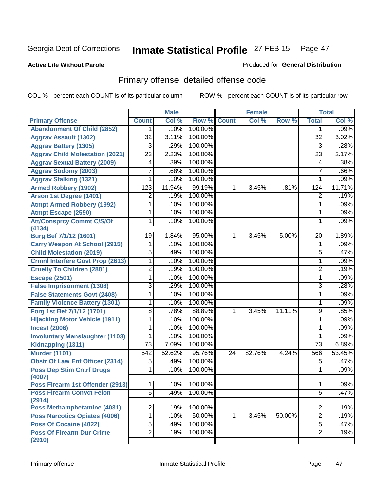#### **Active Life Without Parole**

#### Produced for **General Distribution**

## Primary offense, detailed offense code

|                                            |                 | <b>Male</b> |         |              | <b>Female</b> |        |                 | <b>Total</b> |
|--------------------------------------------|-----------------|-------------|---------|--------------|---------------|--------|-----------------|--------------|
| <b>Primary Offense</b>                     | <b>Count</b>    | Col %       | Row %   | <b>Count</b> | Col %         | Row %  | <b>Total</b>    | Col %        |
| <b>Abandonment Of Child (2852)</b>         | 1               | .10%        | 100.00% |              |               |        | 1               | .09%         |
| <b>Aggrav Assault (1302)</b>               | $\overline{32}$ | 3.11%       | 100.00% |              |               |        | $\overline{32}$ | 3.02%        |
| <b>Aggrav Battery (1305)</b>               | $\overline{3}$  | .29%        | 100.00% |              |               |        | $\overline{3}$  | .28%         |
| <b>Aggrav Child Molestation (2021)</b>     | $\overline{23}$ | 2.23%       | 100.00% |              |               |        | $\overline{23}$ | 2.17%        |
| <b>Aggrav Sexual Battery (2009)</b>        | 4               | .39%        | 100.00% |              |               |        | 4               | .38%         |
| <b>Aggrav Sodomy (2003)</b>                | 7               | .68%        | 100.00% |              |               |        | 7               | .66%         |
| <b>Aggrav Stalking (1321)</b>              | 1               | .10%        | 100.00% |              |               |        | 1               | .09%         |
| <b>Armed Robbery (1902)</b>                | 123             | 11.94%      | 99.19%  | 1            | 3.45%         | .81%   | 124             | 11.71%       |
| Arson 1st Degree (1401)                    | 2               | .19%        | 100.00% |              |               |        | $\overline{2}$  | .19%         |
| <b>Atmpt Armed Robbery (1992)</b>          | 1               | .10%        | 100.00% |              |               |        | 1               | .09%         |
| <b>Atmpt Escape (2590)</b>                 | 1               | .10%        | 100.00% |              |               |        | 1               | .09%         |
| <b>Att/Consprcy Commt C/S/Of</b>           | 1               | .10%        | 100.00% |              |               |        | 1               | .09%         |
| (4134)<br>Burg Bef 7/1/12 (1601)           | 19              | 1.84%       | 95.00%  | 1            | 3.45%         | 5.00%  | 20              | 1.89%        |
| <b>Carry Weapon At School (2915)</b>       | 1               | .10%        | 100.00% |              |               |        | 1               | .09%         |
| <b>Child Molestation (2019)</b>            | $\overline{5}$  | .49%        | 100.00% |              |               |        | 5               | .47%         |
| <b>Crmnl Interfere Govt Prop (2613)</b>    | 1               | .10%        | 100.00% |              |               |        | 1               | .09%         |
| <b>Cruelty To Children (2801)</b>          | $\overline{2}$  | .19%        | 100.00% |              |               |        | 2               | .19%         |
| <b>Escape (2501)</b>                       | 1               | .10%        | 100.00% |              |               |        | 1               | .09%         |
| <b>False Imprisonment (1308)</b>           | 3               | .29%        | 100.00% |              |               |        | 3               | .28%         |
| <b>False Statements Govt (2408)</b>        | 1               | .10%        | 100.00% |              |               |        | 1               | .09%         |
| <b>Family Violence Battery (1301)</b>      | 1               | .10%        | 100.00% |              |               |        | 1               | .09%         |
| Forg 1st Bef 7/1/12 (1701)                 | 8               | .78%        | 88.89%  | 1            | 3.45%         | 11.11% | 9               | .85%         |
| <b>Hijacking Motor Vehicle (1911)</b>      | 1               | .10%        | 100.00% |              |               |        | 1               | .09%         |
|                                            |                 |             | 100.00% |              |               |        |                 | .09%         |
| <b>Incest (2006)</b>                       | 1               | .10%        | 100.00% |              |               |        | 1               | .09%         |
| <b>Involuntary Manslaughter (1103)</b>     | 1               | .10%        |         |              |               |        | 1               |              |
| Kidnapping (1311)                          | $\overline{73}$ | 7.09%       | 100.00% |              |               |        | 73              | 6.89%        |
| <b>Murder (1101)</b>                       | 542             | 52.62%      | 95.76%  | 24           | 82.76%        | 4.24%  | 566             | 53.45%       |
| <b>Obstr Of Law Enf Officer (2314)</b>     | 5               | .49%        | 100.00% |              |               |        | 5               | .47%         |
| <b>Poss Dep Stim Cntrf Drugs</b><br>(4007) | 1               | .10%        | 100.00% |              |               |        | 1               | .09%         |
| Poss Firearm 1st Offender (2913)           | $\mathbf 1$     | .10%        | 100.00% |              |               |        | 1               | .09%         |
| <b>Poss Firearm Convct Felon</b>           | $\overline{5}$  | .49%        | 100.00% |              |               |        | $\overline{5}$  | .47%         |
| (2914)                                     |                 |             |         |              |               |        |                 |              |
| <b>Poss Methamphetamine (4031)</b>         | 2               | .19%        | 100.00% |              |               |        | 2               | .19%         |
| <b>Poss Narcotics Opiates (4006)</b>       | 1               | .10%        | 50.00%  | 1            | 3.45%         | 50.00% | $\overline{2}$  | .19%         |
| Poss Of Cocaine (4022)                     | $\overline{5}$  | .49%        | 100.00% |              |               |        | $\overline{5}$  | .47%         |
| <b>Poss Of Firearm Dur Crime</b><br>(2910) | $\overline{2}$  | .19%        | 100.00% |              |               |        | $\overline{2}$  | .19%         |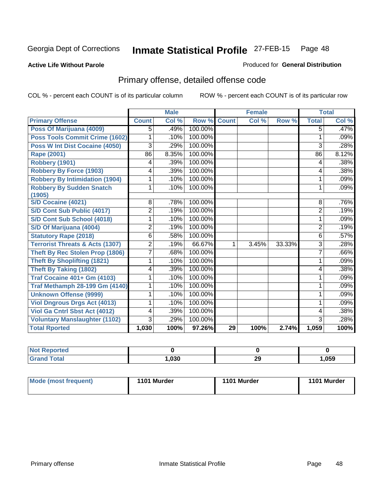#### **Active Life Without Parole**

#### Produced for **General Distribution**

## Primary offense, detailed offense code

|                                            |                 | <b>Male</b> |         |              | <b>Female</b> |        |                | <b>Total</b> |
|--------------------------------------------|-----------------|-------------|---------|--------------|---------------|--------|----------------|--------------|
| <b>Primary Offense</b>                     | <b>Count</b>    | Col %       | Row %   | <b>Count</b> | Col %         | Row %  | <b>Total</b>   | Col %        |
| Poss Of Marijuana (4009)                   | 5               | .49%        | 100.00% |              |               |        | 5              | .47%         |
| Poss Tools Commit Crime (1602)             | 1               | .10%        | 100.00% |              |               |        | 1              | .09%         |
| Poss W Int Dist Cocaine (4050)             | 3               | .29%        | 100.00% |              |               |        | 3              | .28%         |
| Rape (2001)                                | $\overline{86}$ | 8.35%       | 100.00% |              |               |        | 86             | 8.12%        |
| Robbery (1901)                             | 4               | .39%        | 100.00% |              |               |        | 4              | .38%         |
| <b>Robbery By Force (1903)</b>             | 4               | .39%        | 100.00% |              |               |        | 4              | .38%         |
| <b>Robbery By Intimidation (1904)</b>      | 1               | .10%        | 100.00% |              |               |        | 1              | .09%         |
| <b>Robbery By Sudden Snatch</b><br>(1905)  | 1               | .10%        | 100.00% |              |               |        | 1              | .09%         |
| <b>S/D Cocaine (4021)</b>                  | 8               | .78%        | 100.00% |              |               |        | 8              | .76%         |
| S/D Cont Sub Public (4017)                 | $\overline{c}$  | .19%        | 100.00% |              |               |        | $\overline{2}$ | .19%         |
| S/D Cont Sub School (4018)                 | 1               | .10%        | 100.00% |              |               |        | 1              | .09%         |
| S/D Of Marijuana (4004)                    | 2               | .19%        | 100.00% |              |               |        | $\overline{c}$ | .19%         |
| <b>Statutory Rape (2018)</b>               | 6               | .58%        | 100.00% |              |               |        | 6              | .57%         |
| <b>Terrorist Threats &amp; Acts (1307)</b> | 2               | .19%        | 66.67%  |              | 3.45%         | 33.33% | 3              | .28%         |
| <b>Theft By Rec Stolen Prop (1806)</b>     | 7               | .68%        | 100.00% |              |               |        | $\overline{7}$ | .66%         |
| <b>Theft By Shoplifting (1821)</b>         | 1               | .10%        | 100.00% |              |               |        | 1              | .09%         |
| <b>Theft By Taking (1802)</b>              | 4               | .39%        | 100.00% |              |               |        | 4              | .38%         |
| <b>Traf Cocaine 401+ Gm (4103)</b>         |                 | .10%        | 100.00% |              |               |        | 1              | .09%         |
| <b>Traf Methamph 28-199 Gm (4140)</b>      |                 | .10%        | 100.00% |              |               |        | 1              | .09%         |
| <b>Unknown Offense (9999)</b>              | 1               | .10%        | 100.00% |              |               |        | 1              | .09%         |
| <b>Viol Dngrous Drgs Act (4013)</b>        | 1               | .10%        | 100.00% |              |               |        | 1              | .09%         |
| <b>Viol Ga Cntrl Sbst Act (4012)</b>       | 4               | .39%        | 100.00% |              |               |        | 4              | .38%         |
| <b>Voluntary Manslaughter (1102)</b>       | 3               | .29%        | 100.00% |              |               |        | 3              | .28%         |
| <b>Total Rported</b>                       | 1,030           | 100%        | 97.26%  | 29           | 100%          | 2.74%  | 1,059          | 100%         |

| <b>Not Reported</b> |      |          |      |
|---------------------|------|----------|------|
| <b>Grand Total</b>  | ,030 | oc.<br>" | ,059 |

| Mode (most frequent) | 1101 Murder | 1101 Murder | 1101 Murder |
|----------------------|-------------|-------------|-------------|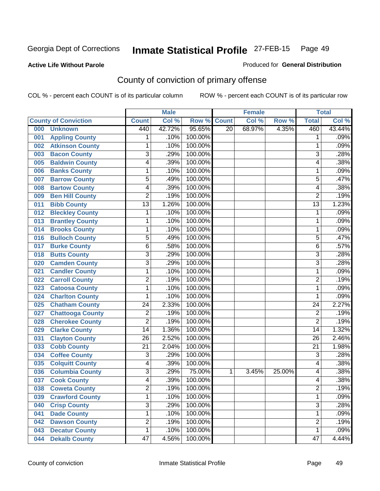#### **Active Life Without Parole**

#### Produced for **General Distribution**

## County of conviction of primary offense

|     |                             |                         | <b>Male</b> |         |                 | Female |        |                 | <b>Total</b> |
|-----|-----------------------------|-------------------------|-------------|---------|-----------------|--------|--------|-----------------|--------------|
|     | <b>County of Conviction</b> | <b>Count</b>            | Col %       | Row %   | <b>Count</b>    | Col %  | Row %  | <b>Total</b>    | Col %        |
| 000 | <b>Unknown</b>              | 440                     | 42.72%      | 95.65%  | $\overline{20}$ | 68.97% | 4.35%  | 460             | 43.44%       |
| 001 | <b>Appling County</b>       | 1                       | .10%        | 100.00% |                 |        |        | 1               | .09%         |
| 002 | <b>Atkinson County</b>      | 1                       | .10%        | 100.00% |                 |        |        | 1               | .09%         |
| 003 | <b>Bacon County</b>         | $\overline{3}$          | .29%        | 100.00% |                 |        |        | $\overline{3}$  | .28%         |
| 005 | <b>Baldwin County</b>       | 4                       | .39%        | 100.00% |                 |        |        | 4               | .38%         |
| 006 | <b>Banks County</b>         | 1                       | .10%        | 100.00% |                 |        |        | 1               | .09%         |
| 007 | <b>Barrow County</b>        | $\overline{5}$          | .49%        | 100.00% |                 |        |        | $\overline{5}$  | .47%         |
| 008 | <b>Bartow County</b>        | 4                       | .39%        | 100.00% |                 |        |        | 4               | .38%         |
| 009 | <b>Ben Hill County</b>      | $\overline{2}$          | .19%        | 100.00% |                 |        |        | $\overline{2}$  | .19%         |
| 011 | <b>Bibb County</b>          | $\overline{13}$         | 1.26%       | 100.00% |                 |        |        | $\overline{13}$ | 1.23%        |
| 012 | <b>Bleckley County</b>      | 1                       | .10%        | 100.00% |                 |        |        | 1               | .09%         |
| 013 | <b>Brantley County</b>      | 1                       | .10%        | 100.00% |                 |        |        | 1               | .09%         |
| 014 | <b>Brooks County</b>        | 1                       | .10%        | 100.00% |                 |        |        | 1               | .09%         |
| 016 | <b>Bulloch County</b>       | $\overline{5}$          | .49%        | 100.00% |                 |        |        | $\overline{5}$  | .47%         |
| 017 | <b>Burke County</b>         | $\overline{6}$          | .58%        | 100.00% |                 |        |        | 6               | .57%         |
| 018 | <b>Butts County</b>         | $\overline{3}$          | .29%        | 100.00% |                 |        |        | $\overline{3}$  | .28%         |
| 020 | <b>Camden County</b>        | $\overline{\mathbf{3}}$ | .29%        | 100.00% |                 |        |        | $\overline{3}$  | .28%         |
| 021 | <b>Candler County</b>       | 1                       | .10%        | 100.00% |                 |        |        | 1               | .09%         |
| 022 | <b>Carroll County</b>       | $\overline{2}$          | .19%        | 100.00% |                 |        |        | $\overline{2}$  | .19%         |
| 023 | <b>Catoosa County</b>       | 1                       | .10%        | 100.00% |                 |        |        | 1               | .09%         |
| 024 | <b>Charlton County</b>      | 1                       | .10%        | 100.00% |                 |        |        | 1               | .09%         |
| 025 | <b>Chatham County</b>       | $\overline{24}$         | 2.33%       | 100.00% |                 |        |        | $\overline{24}$ | 2.27%        |
| 027 | <b>Chattooga County</b>     | $\overline{2}$          | .19%        | 100.00% |                 |        |        | $\overline{2}$  | .19%         |
| 028 | <b>Cherokee County</b>      | $\overline{2}$          | .19%        | 100.00% |                 |        |        | $\overline{2}$  | .19%         |
| 029 | <b>Clarke County</b>        | 14                      | 1.36%       | 100.00% |                 |        |        | 14              | 1.32%        |
| 031 | <b>Clayton County</b>       | $\overline{26}$         | 2.52%       | 100.00% |                 |        |        | $\overline{26}$ | 2.46%        |
| 033 | <b>Cobb County</b>          | $\overline{21}$         | 2.04%       | 100.00% |                 |        |        | $\overline{21}$ | 1.98%        |
| 034 | <b>Coffee County</b>        | 3                       | .29%        | 100.00% |                 |        |        | 3               | .28%         |
| 035 | <b>Colquitt County</b>      | 4                       | .39%        | 100.00% |                 |        |        | 4               | .38%         |
| 036 | <b>Columbia County</b>      | $\overline{3}$          | .29%        | 75.00%  | 1               | 3.45%  | 25.00% | 4               | .38%         |
| 037 | <b>Cook County</b>          | 4                       | .39%        | 100.00% |                 |        |        | 4               | .38%         |
| 038 | <b>Coweta County</b>        | 2                       | .19%        | 100.00% |                 |        |        | 2               | .19%         |
| 039 | <b>Crawford County</b>      | 1                       | .10%        | 100.00% |                 |        |        | 1               | .09%         |
| 040 | <b>Crisp County</b>         | $\overline{3}$          | .29%        | 100.00% |                 |        |        | $\overline{3}$  | .28%         |
| 041 | <b>Dade County</b>          | 1                       | .10%        | 100.00% |                 |        |        | $\mathbf{1}$    | .09%         |
| 042 | <b>Dawson County</b>        | $\overline{2}$          | .19%        | 100.00% |                 |        |        | $\overline{2}$  | .19%         |
| 043 | <b>Decatur County</b>       | 1                       | .10%        | 100.00% |                 |        |        | 1               | .09%         |
| 044 | <b>Dekalb County</b>        | $\overline{47}$         | 4.56%       | 100.00% |                 |        |        | $\overline{47}$ | 4.44%        |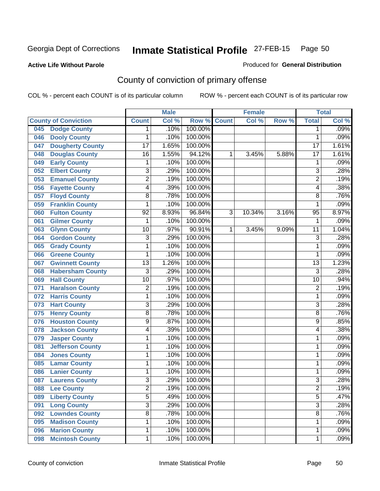#### **Active Life Without Parole**

### Produced for **General Distribution**

## County of conviction of primary offense

|                                |                         | <b>Male</b> |         |              | <b>Female</b> |       |                 | <b>Total</b>               |
|--------------------------------|-------------------------|-------------|---------|--------------|---------------|-------|-----------------|----------------------------|
| <b>County of Conviction</b>    | <b>Count</b>            | Col %       | Row %   | <b>Count</b> | Col %         | Row % | <b>Total</b>    | $\overline{\text{Col }^9}$ |
| <b>Dodge County</b><br>045     | 1                       | .10%        | 100.00% |              |               |       | 1               | .09%                       |
| <b>Dooly County</b><br>046     | 1                       | .10%        | 100.00% |              |               |       | 1               | .09%                       |
| <b>Dougherty County</b><br>047 | $\overline{17}$         | 1.65%       | 100.00% |              |               |       | $\overline{17}$ | 1.61%                      |
| <b>Douglas County</b><br>048   | $\overline{16}$         | 1.55%       | 94.12%  | 1            | 3.45%         | 5.88% | $\overline{17}$ | 1.61%                      |
| <b>Early County</b><br>049     | 1                       | .10%        | 100.00% |              |               |       | 1               | .09%                       |
| <b>Elbert County</b><br>052    | $\overline{3}$          | .29%        | 100.00% |              |               |       | $\overline{3}$  | .28%                       |
| <b>Emanuel County</b><br>053   | $\overline{2}$          | .19%        | 100.00% |              |               |       | $\overline{2}$  | .19%                       |
| <b>Fayette County</b><br>056   | 4                       | .39%        | 100.00% |              |               |       | 4               | .38%                       |
| <b>Floyd County</b><br>057     | 8                       | .78%        | 100.00% |              |               |       | 8               | .76%                       |
| <b>Franklin County</b><br>059  | 1                       | .10%        | 100.00% |              |               |       | 1               | .09%                       |
| <b>Fulton County</b><br>060    | $\overline{92}$         | 8.93%       | 96.84%  | 3            | 10.34%        | 3.16% | $\overline{95}$ | 8.97%                      |
| <b>Gilmer County</b><br>061    | 1                       | .10%        | 100.00% |              |               |       | 1               | .09%                       |
| <b>Glynn County</b><br>063     | 10                      | .97%        | 90.91%  | 1            | 3.45%         | 9.09% | $\overline{11}$ | 1.04%                      |
| <b>Gordon County</b><br>064    | $\overline{3}$          | .29%        | 100.00% |              |               |       | $\overline{3}$  | .28%                       |
| <b>Grady County</b><br>065     | 1                       | .10%        | 100.00% |              |               |       | 1               | .09%                       |
| <b>Greene County</b><br>066    | 1                       | .10%        | 100.00% |              |               |       | 1               | .09%                       |
| <b>Gwinnett County</b><br>067  | $\overline{13}$         | 1.26%       | 100.00% |              |               |       | $\overline{13}$ | 1.23%                      |
| <b>Habersham County</b><br>068 | $\overline{3}$          | .29%        | 100.00% |              |               |       | $\overline{3}$  | .28%                       |
| <b>Hall County</b><br>069      | $\overline{10}$         | .97%        | 100.00% |              |               |       | $\overline{10}$ | .94%                       |
| <b>Haralson County</b><br>071  | $\overline{2}$          | .19%        | 100.00% |              |               |       | $\overline{2}$  | .19%                       |
| <b>Harris County</b><br>072    | 1                       | .10%        | 100.00% |              |               |       | 1               | .09%                       |
| <b>Hart County</b><br>073      | $\overline{3}$          | .29%        | 100.00% |              |               |       | $\overline{3}$  | .28%                       |
| <b>Henry County</b><br>075     | $\overline{8}$          | .78%        | 100.00% |              |               |       | 8               | .76%                       |
| <b>Houston County</b><br>076   | $\overline{9}$          | .87%        | 100.00% |              |               |       | 9               | .85%                       |
| <b>Jackson County</b><br>078   | 4                       | .39%        | 100.00% |              |               |       | 4               | .38%                       |
| <b>Jasper County</b><br>079    | 1                       | .10%        | 100.00% |              |               |       | 1               | .09%                       |
| <b>Jefferson County</b><br>081 | 1                       | .10%        | 100.00% |              |               |       | 1               | .09%                       |
| <b>Jones County</b><br>084     | 1                       | .10%        | 100.00% |              |               |       | 1               | .09%                       |
| <b>Lamar County</b><br>085     | 1                       | .10%        | 100.00% |              |               |       | 1               | .09%                       |
| <b>Lanier County</b><br>086    | 1                       | .10%        | 100.00% |              |               |       | 1               | .09%                       |
| <b>Laurens County</b><br>087   | $\overline{\mathbf{3}}$ | .29%        | 100.00% |              |               |       | $\overline{3}$  | .28%                       |
| 088<br><b>Lee County</b>       | $\overline{2}$          | .19%        | 100.00% |              |               |       | 2               | .19%                       |
| <b>Liberty County</b><br>089   | $\overline{5}$          | .49%        | 100.00% |              |               |       | $\overline{5}$  | .47%                       |
| <b>Long County</b><br>091      | $\overline{3}$          | .29%        | 100.00% |              |               |       | $\overline{3}$  | .28%                       |
| <b>Lowndes County</b><br>092   | $\overline{8}$          | .78%        | 100.00% |              |               |       | $\overline{8}$  | .76%                       |
| <b>Madison County</b><br>095   | 1                       | .10%        | 100.00% |              |               |       | 1               | .09%                       |
| <b>Marion County</b><br>096    | 1                       | .10%        | 100.00% |              |               |       | 1               | .09%                       |
| <b>Mcintosh County</b><br>098  | 1                       | .10%        | 100.00% |              |               |       | 1               | .09%                       |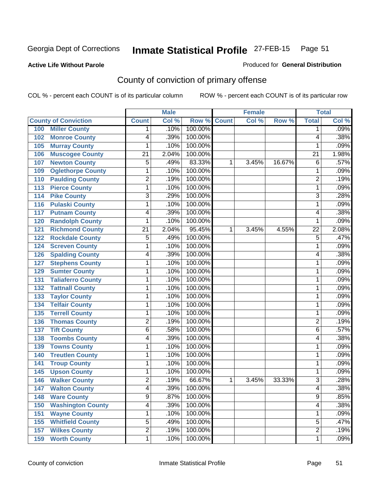**Active Life Without Parole** 

Produced for **General Distribution**

## County of conviction of primary offense

|                                 |                 | <b>Male</b> |                    |   | <b>Female</b> |        |                 | <b>Total</b> |
|---------------------------------|-----------------|-------------|--------------------|---|---------------|--------|-----------------|--------------|
| <b>County of Conviction</b>     | <b>Count</b>    | Col %       | <b>Row % Count</b> |   | Col %         | Row %  | <b>Total</b>    | Col %        |
| <b>Miller County</b><br>100     | 1               | .10%        | 100.00%            |   |               |        | 1               | .09%         |
| <b>Monroe County</b><br>102     | 4               | .39%        | 100.00%            |   |               |        | 4               | .38%         |
| <b>Murray County</b><br>105     | 1               | .10%        | 100.00%            |   |               |        | 1               | .09%         |
| <b>Muscogee County</b><br>106   | $\overline{21}$ | 2.04%       | 100.00%            |   |               |        | 21              | 1.98%        |
| <b>Newton County</b><br>107     | 5               | .49%        | 83.33%             | 1 | 3.45%         | 16.67% | 6               | .57%         |
| <b>Oglethorpe County</b><br>109 | 1               | .10%        | 100.00%            |   |               |        | 1               | .09%         |
| <b>Paulding County</b><br>110   | $\overline{2}$  | .19%        | 100.00%            |   |               |        | $\overline{2}$  | .19%         |
| <b>Pierce County</b><br>113     | 1               | .10%        | 100.00%            |   |               |        | 1               | .09%         |
| <b>Pike County</b><br>114       | $\overline{3}$  | .29%        | 100.00%            |   |               |        | 3               | .28%         |
| <b>Pulaski County</b><br>116    | 1               | .10%        | 100.00%            |   |               |        | 1               | .09%         |
| <b>Putnam County</b><br>117     | 4               | .39%        | 100.00%            |   |               |        | 4               | .38%         |
| <b>Randolph County</b><br>120   | 1               | .10%        | 100.00%            |   |               |        | 1               | .09%         |
| <b>Richmond County</b><br>121   | $\overline{21}$ | 2.04%       | 95.45%             | 1 | 3.45%         | 4.55%  | $\overline{22}$ | 2.08%        |
| <b>Rockdale County</b><br>122   | 5               | .49%        | 100.00%            |   |               |        | 5               | .47%         |
| <b>Screven County</b><br>124    | 1               | .10%        | 100.00%            |   |               |        | 1               | .09%         |
| <b>Spalding County</b><br>126   | 4               | .39%        | 100.00%            |   |               |        | 4               | .38%         |
| <b>Stephens County</b><br>127   | 1               | .10%        | 100.00%            |   |               |        | 1               | .09%         |
| <b>Sumter County</b><br>129     | 1               | .10%        | 100.00%            |   |               |        | 1               | .09%         |
| <b>Taliaferro County</b><br>131 | 1               | .10%        | 100.00%            |   |               |        | 1               | .09%         |
| <b>Tattnall County</b><br>132   | 1               | .10%        | 100.00%            |   |               |        | 1               | .09%         |
| <b>Taylor County</b><br>133     | 1               | .10%        | 100.00%            |   |               |        | 1               | .09%         |
| <b>Telfair County</b><br>134    | 1               | .10%        | 100.00%            |   |               |        | 1               | .09%         |
| <b>Terrell County</b><br>135    | 1               | .10%        | 100.00%            |   |               |        | 1               | .09%         |
| <b>Thomas County</b><br>136     | $\overline{2}$  | .19%        | 100.00%            |   |               |        | $\overline{2}$  | .19%         |
| <b>Tift County</b><br>137       | 6               | .58%        | 100.00%            |   |               |        | 6               | .57%         |
| <b>Toombs County</b><br>138     | 4               | .39%        | 100.00%            |   |               |        | 4               | .38%         |
| <b>Towns County</b><br>139      | 1               | .10%        | 100.00%            |   |               |        | 1               | .09%         |
| <b>Treutlen County</b><br>140   | 1               | .10%        | 100.00%            |   |               |        | 1               | .09%         |
| <b>Troup County</b><br>141      | 1               | .10%        | 100.00%            |   |               |        | 1               | .09%         |
| <b>Upson County</b><br>145      | 1               | .10%        | 100.00%            |   |               |        | 1               | .09%         |
| <b>Walker County</b><br>146     | $\overline{2}$  | .19%        | 66.67%             | 1 | 3.45%         | 33.33% | 3               | .28%         |
| 147<br><b>Walton County</b>     | 4               | .39%        | 100.00%            |   |               |        | 4               | .38%         |
| <b>Ware County</b><br>148       | $\overline{9}$  | .87%        | 100.00%            |   |               |        | $\overline{9}$  | .85%         |
| <b>Washington County</b><br>150 | 4               | .39%        | 100.00%            |   |               |        | 4               | .38%         |
| <b>Wayne County</b><br>151      | 1               | .10%        | 100.00%            |   |               |        | 1               | .09%         |
| <b>Whitfield County</b><br>155  | 5               | .49%        | 100.00%            |   |               |        | 5               | .47%         |
| <b>Wilkes County</b><br>157     | $\overline{2}$  | .19%        | 100.00%            |   |               |        | $\overline{2}$  | .19%         |
| <b>Worth County</b><br>159      | 1               | .10%        | 100.00%            |   |               |        | 1               | .09%         |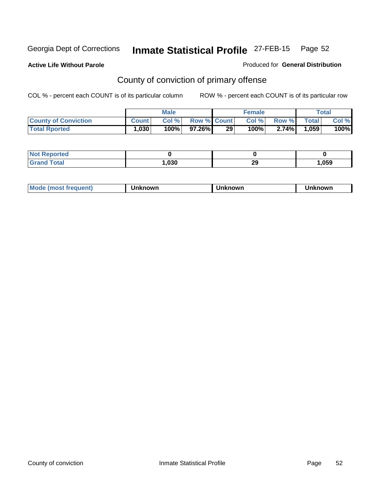**Active Life Without Parole** 

Produced for **General Distribution**

## County of conviction of primary offense

|                             |              | <b>Male</b> |                    |    | <b>Female</b> |        |       | Total |
|-----------------------------|--------------|-------------|--------------------|----|---------------|--------|-------|-------|
| <b>County of Conviction</b> | <b>Count</b> | Col %       | <b>Row % Count</b> |    | Col %         | Row %I | Total | Col % |
| <b>Total Rported</b>        | 1,030        | 100%        | 97.26%I            | 29 | 100%⊤         | 2.74%  | .059  | 100%  |

| <b>Not Reported</b><br>. |      |          |      |
|--------------------------|------|----------|------|
| <b>Total</b><br>Cron     | .030 | חה<br>23 | ,059 |

| <b>Mode (most frequent)</b> | Unknown | Unknown | Unknown |
|-----------------------------|---------|---------|---------|
|-----------------------------|---------|---------|---------|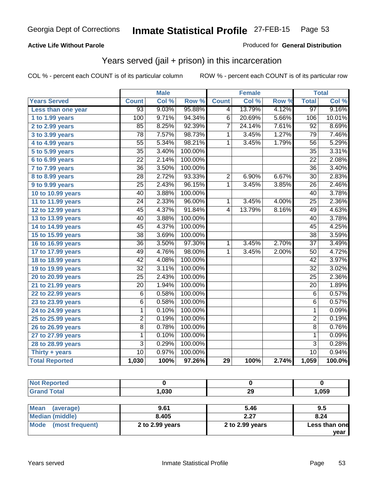### **Active Life Without Parole**

#### Produced for **General Distribution**

### Years served (jail + prison) in this incarceration

|                       |                 | <b>Male</b> |         |                | <b>Female</b> |                  |                 | <b>Total</b> |
|-----------------------|-----------------|-------------|---------|----------------|---------------|------------------|-----------------|--------------|
| <b>Years Served</b>   | <b>Count</b>    | Col %       | Row %   | <b>Count</b>   | Col %         | Row <sup>7</sup> | <b>Total</b>    | Col %        |
| Less than one year    | $\overline{93}$ | 9.03%       | 95.88%  | 4              | 13.79%        | 4.12%            | 97              | 9.16%        |
| 1 to 1.99 years       | 100             | 9.71%       | 94.34%  | 6              | 20.69%        | 5.66%            | 106             | 10.01%       |
| 2 to 2.99 years       | 85              | 8.25%       | 92.39%  | 7              | 24.14%        | 7.61%            | 92              | 8.69%        |
| 3 to 3.99 years       | 78              | 7.57%       | 98.73%  | 1              | 3.45%         | 1.27%            | 79              | 7.46%        |
| 4 to 4.99 years       | $\overline{55}$ | 5.34%       | 98.21%  | $\mathbf{1}$   | 3.45%         | 1.79%            | 56              | 5.29%        |
| 5 to 5.99 years       | $\overline{35}$ | 3.40%       | 100.00% |                |               |                  | $\overline{35}$ | 3.31%        |
| 6 to 6.99 years       | $\overline{22}$ | 2.14%       | 100.00% |                |               |                  | $\overline{22}$ | 2.08%        |
| 7 to 7.99 years       | $\overline{36}$ | 3.50%       | 100.00% |                |               |                  | 36              | 3.40%        |
| 8 to 8.99 years       | $\overline{28}$ | 2.72%       | 93.33%  | $\overline{2}$ | 6.90%         | 6.67%            | $\overline{30}$ | 2.83%        |
| 9 to 9.99 years       | 25              | 2.43%       | 96.15%  | $\mathbf{1}$   | 3.45%         | 3.85%            | 26              | 2.46%        |
| 10 to 10.99 years     | 40              | 3.88%       | 100.00% |                |               |                  | 40              | 3.78%        |
| 11 to 11.99 years     | 24              | 2.33%       | 96.00%  | 1              | 3.45%         | 4.00%            | $\overline{25}$ | 2.36%        |
| 12 to 12.99 years     | 45              | 4.37%       | 91.84%  | $\overline{4}$ | 13.79%        | 8.16%            | 49              | 4.63%        |
| 13 to 13.99 years     | 40              | 3.88%       | 100.00% |                |               |                  | 40              | 3.78%        |
| 14 to 14.99 years     | $\overline{45}$ | 4.37%       | 100.00% |                |               |                  | 45              | 4.25%        |
| 15 to 15.99 years     | 38              | 3.69%       | 100.00% |                |               |                  | 38              | 3.59%        |
| 16 to 16.99 years     | $\overline{36}$ | 3.50%       | 97.30%  | 1              | 3.45%         | 2.70%            | $\overline{37}$ | 3.49%        |
| 17 to 17.99 years     | 49              | 4.76%       | 98.00%  | 1              | 3.45%         | 2.00%            | 50              | 4.72%        |
| 18 to 18.99 years     | $\overline{42}$ | 4.08%       | 100.00% |                |               |                  | $\overline{42}$ | 3.97%        |
| 19 to 19.99 years     | $\overline{32}$ | 3.11%       | 100.00% |                |               |                  | $\overline{32}$ | 3.02%        |
| 20 to 20.99 years     | $\overline{25}$ | 2.43%       | 100.00% |                |               |                  | 25              | 2.36%        |
| 21 to 21.99 years     | 20              | 1.94%       | 100.00% |                |               |                  | 20              | 1.89%        |
| 22 to 22.99 years     | $\overline{6}$  | 0.58%       | 100.00% |                |               |                  | $\overline{6}$  | 0.57%        |
| 23 to 23.99 years     | 6               | 0.58%       | 100.00% |                |               |                  | $\,6$           | 0.57%        |
| 24 to 24.99 years     | 1               | 0.10%       | 100.00% |                |               |                  | $\mathbf{1}$    | 0.09%        |
| 25 to 25.99 years     | 2               | 0.19%       | 100.00% |                |               |                  | $\overline{2}$  | 0.19%        |
| 26 to 26.99 years     | $\overline{8}$  | 0.78%       | 100.00% |                |               |                  | $\overline{8}$  | 0.76%        |
| 27 to 27.99 years     | 1               | 0.10%       | 100.00% |                |               |                  | 1               | 0.09%        |
| 28 to 28.99 years     | 3               | 0.29%       | 100.00% |                |               |                  | $\overline{3}$  | 0.28%        |
| Thirty + years        | 10              | 0.97%       | 100.00% |                |               |                  | $\overline{10}$ | 0.94%        |
| <b>Total Reported</b> | 1,030           | 100%        | 97.26%  | 29             | 100%          | 2.74%            | 1,059           | 100.0%       |

| <b>Not Reported</b>      |                 |                 |               |
|--------------------------|-----------------|-----------------|---------------|
| <b>Grand Total</b>       | 1,030           | 29              | 1,059         |
|                          |                 |                 |               |
| <b>Mean</b><br>(average) | 9.61            | 5.46            | 9.5           |
| <b>Median (middle)</b>   | 8.405           | 2.27            | 8.24          |
| Mode (most frequent)     | 2 to 2.99 years | 2 to 2.99 years | Less than one |
|                          |                 |                 | year          |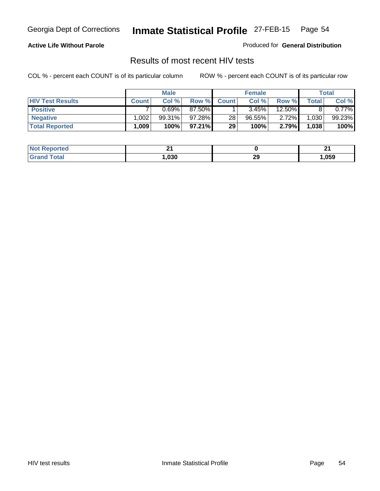#### **Active Life Without Parole**

Produced for **General Distribution**

### Results of most recent HIV tests

|                         |              | <b>Male</b> |        |              | <b>Female</b> |           |              | Total  |
|-------------------------|--------------|-------------|--------|--------------|---------------|-----------|--------------|--------|
| <b>HIV Test Results</b> | <b>Count</b> | Col %       | Row %  | <b>Count</b> | Col %         | Row %     | <b>Total</b> | Col %  |
| <b>Positive</b>         |              | 0.69%       | 87.50% |              | 3.45%         | $12.50\%$ |              | 0.77%  |
| <b>Negative</b>         | .002         | 99.31%      | 97.28% | 28           | $96.55\%$     | $2.72\%$  | 1,030        | 99.23% |
| <b>Total Reported</b>   | 1.009        | 100%        | 97.21% | 29           | 100%          | 2.79%     | 1,038        | 100%   |

| <b>Not</b>      | п.   |           | п.   |
|-----------------|------|-----------|------|
| <b>Reported</b> |      |           |      |
| Total           | ,030 | ה ה<br>23 | ,059 |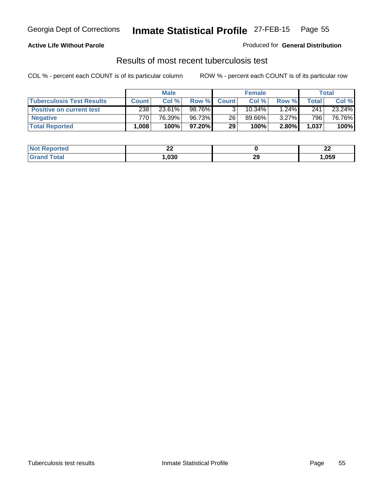#### **Active Life Without Parole**

Produced for **General Distribution**

### Results of most recent tuberculosis test

|                                  | <b>Male</b>       |        |        | <b>Female</b> |           |          | <b>Total</b> |        |
|----------------------------------|-------------------|--------|--------|---------------|-----------|----------|--------------|--------|
| <b>Tuberculosis Test Results</b> | <b>Count</b>      | Col %  | Row %  | <b>Count</b>  | Col %     | Row %    | Total        | Col %  |
| <b>Positive on current test</b>  | 238               | 23.61% | 98.76% |               | $10.34\%$ | $1.24\%$ | 241          | 23.24% |
| <b>Negative</b>                  | 770               | 76.39% | 96.73% | 26            | 89.66%    | $3.27\%$ | 796          | 76.76% |
| <b>Total Reported</b>            | .008 <sup>1</sup> | 100%   | 97.20% | 29            | 100%      | 2.80%    | 1,037        | 100%   |

| <b>Not</b><br><b>Reported</b> | n,<br>-- |          | $\overline{\phantom{a}}$<br>-- |
|-------------------------------|----------|----------|--------------------------------|
| <b>Total</b>                  | ,030     | ററ<br>23 | ,059                           |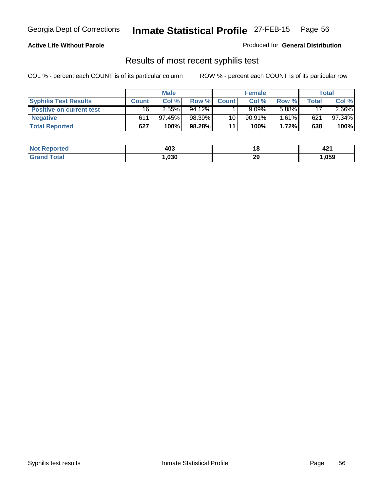#### **Active Life Without Parole**

Produced for **General Distribution**

### Results of most recent syphilis test

|                                 | <b>Male</b>  |           |        | <b>Female</b> |        |       | Total |           |
|---------------------------------|--------------|-----------|--------|---------------|--------|-------|-------|-----------|
| <b>Syphilis Test Results</b>    | <b>Count</b> | Col %     | Row %  | <b>Count</b>  | Col%   | Row % | Total | Col %     |
| <b>Positive on current test</b> | 16           | 2.55%     | 94.12% |               | 9.09%  | 5.88% | 17    | $2.66\%$  |
| <b>Negative</b>                 | 611          | $97.45\%$ | 98.39% | 10            | 90.91% | 1.61% | 621   | $97.34\%$ |
| <b>Total Reported</b>           | 627          | 100%      | 98.28% | 11            | 100%   | 1.72% | 638   | 100%      |

| <b>Not</b><br>Reported | 403  |          | . .<br>44 |
|------------------------|------|----------|-----------|
| Total<br>Gran          | ,030 | つく<br>23 | ,059      |